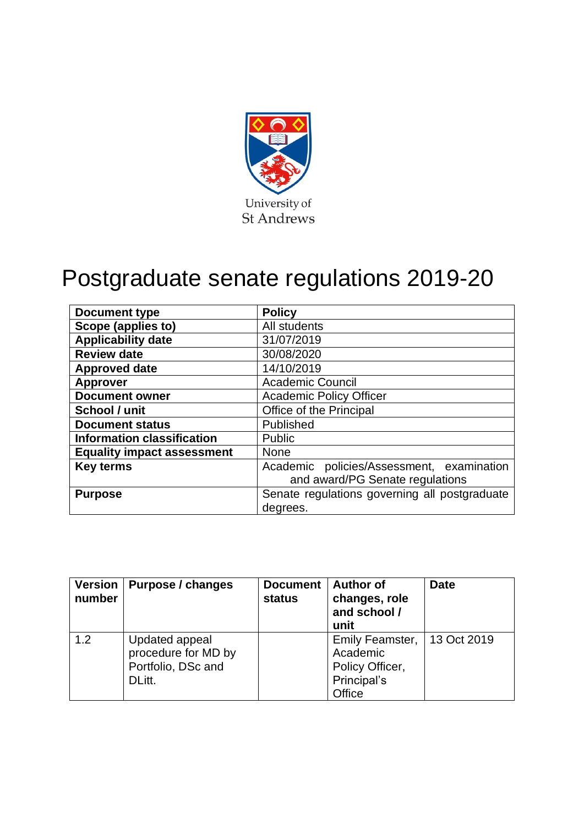

# Postgraduate senate regulations 2019-20

| <b>Document type</b>              | <b>Policy</b>                                 |  |  |
|-----------------------------------|-----------------------------------------------|--|--|
| Scope (applies to)                | All students                                  |  |  |
| <b>Applicability date</b>         | 31/07/2019                                    |  |  |
| <b>Review date</b>                | 30/08/2020                                    |  |  |
| <b>Approved date</b>              | 14/10/2019                                    |  |  |
| <b>Approver</b>                   | <b>Academic Council</b>                       |  |  |
| <b>Document owner</b>             | <b>Academic Policy Officer</b>                |  |  |
| School / unit                     | Office of the Principal                       |  |  |
| <b>Document status</b>            | Published                                     |  |  |
| <b>Information classification</b> | Public                                        |  |  |
| <b>Equality impact assessment</b> | <b>None</b>                                   |  |  |
| <b>Key terms</b>                  | Academic policies/Assessment, examination     |  |  |
|                                   | and award/PG Senate regulations               |  |  |
| <b>Purpose</b>                    | Senate regulations governing all postgraduate |  |  |
|                                   | degrees.                                      |  |  |

| <b>Version</b><br>number | Purpose / changes                                                     | <b>Document</b><br>status | <b>Author of</b><br>changes, role<br>and school /<br>unit               | <b>Date</b> |
|--------------------------|-----------------------------------------------------------------------|---------------------------|-------------------------------------------------------------------------|-------------|
| 1.2                      | Updated appeal<br>procedure for MD by<br>Portfolio, DSc and<br>DLitt. |                           | Emily Feamster,<br>Academic<br>Policy Officer,<br>Principal's<br>Office | 13 Oct 2019 |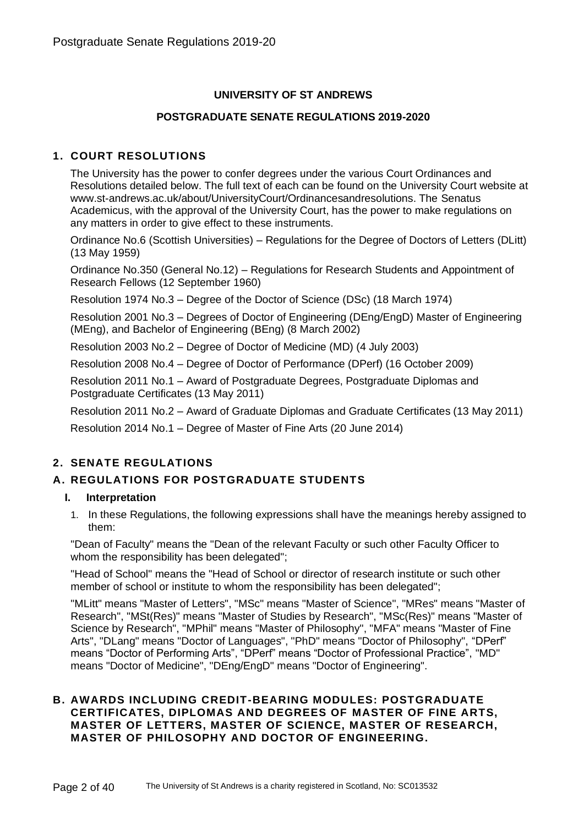# **UNIVERSITY OF ST ANDREWS**

#### **POSTGRADUATE SENATE REGULATIONS 2019-2020**

# **1. COURT RESOLUTIONS**

The University has the power to confer degrees under the various Court Ordinances and Resolutions detailed below. The full text of each can be found on the University Court website at www.st-andrews.ac.uk/about/UniversityCourt/Ordinancesandresolutions. The Senatus Academicus, with the approval of the University Court, has the power to make regulations on any matters in order to give effect to these instruments.

Ordinance No.6 (Scottish Universities) – Regulations for the Degree of Doctors of Letters (DLitt) (13 May 1959)

Ordinance No.350 (General No.12) – Regulations for Research Students and Appointment of Research Fellows (12 September 1960)

Resolution 1974 No.3 – Degree of the Doctor of Science (DSc) (18 March 1974)

Resolution 2001 No.3 – Degrees of Doctor of Engineering (DEng/EngD) Master of Engineering (MEng), and Bachelor of Engineering (BEng) (8 March 2002)

Resolution 2003 No.2 – Degree of Doctor of Medicine (MD) (4 July 2003)

Resolution 2008 No.4 – Degree of Doctor of Performance (DPerf) (16 October 2009)

Resolution 2011 No.1 – Award of Postgraduate Degrees, Postgraduate Diplomas and Postgraduate Certificates (13 May 2011)

Resolution 2011 No.2 – Award of Graduate Diplomas and Graduate Certificates (13 May 2011)

Resolution 2014 No.1 – Degree of Master of Fine Arts (20 June 2014)

# **2. SENATE REGULATIONS**

# **A. REGULATIONS FOR POSTGRADUATE STUDENTS**

# **I. Interpretation**

1. In these Regulations, the following expressions shall have the meanings hereby assigned to them:

"Dean of Faculty" means the "Dean of the relevant Faculty or such other Faculty Officer to whom the responsibility has been delegated";

"Head of School" means the "Head of School or director of research institute or such other member of school or institute to whom the responsibility has been delegated";

"MLitt" means "Master of Letters", "MSc" means "Master of Science", "MRes" means "Master of Research", "MSt(Res)" means "Master of Studies by Research", "MSc(Res)" means "Master of Science by Research", "MPhil" means "Master of Philosophy", "MFA" means "Master of Fine Arts", "DLang" means "Doctor of Languages", "PhD" means "Doctor of Philosophy", "DPerf" means "Doctor of Performing Arts", "DPerf" means "Doctor of Professional Practice", "MD" means "Doctor of Medicine", "DEng/EngD" means "Doctor of Engineering".

# **B. AWARDS INCLUDING CREDIT-BEARING MODULES: POSTGRADUATE CERTIFICATES, DIPLOMAS AND DEGREES OF MASTER OF FINE ARTS, MASTER OF LETTERS, MASTER OF SCIENCE, MASTER OF RESEARCH, MASTER OF PHILOSOPHY AND DOCTOR OF ENGINEERING.**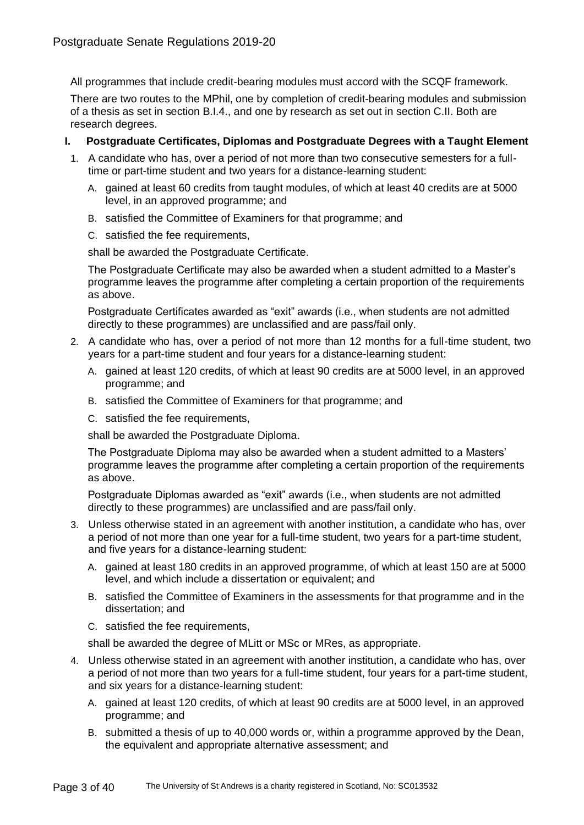All programmes that include credit-bearing modules must accord with the SCQF framework.

There are two routes to the MPhil, one by completion of credit-bearing modules and submission of a thesis as set in section B.I.4., and one by research as set out in section C.II. Both are research degrees.

# **I. Postgraduate Certificates, Diplomas and Postgraduate Degrees with a Taught Element**

- 1. A candidate who has, over a period of not more than two consecutive semesters for a fulltime or part-time student and two years for a distance-learning student:
	- A. gained at least 60 credits from taught modules, of which at least 40 credits are at 5000 level, in an approved programme; and
	- B. satisfied the Committee of Examiners for that programme; and
	- C. satisfied the fee requirements,

shall be awarded the Postgraduate Certificate.

The Postgraduate Certificate may also be awarded when a student admitted to a Master's programme leaves the programme after completing a certain proportion of the requirements as above.

Postgraduate Certificates awarded as "exit" awards (i.e., when students are not admitted directly to these programmes) are unclassified and are pass/fail only.

- 2. A candidate who has, over a period of not more than 12 months for a full-time student, two years for a part-time student and four years for a distance-learning student:
	- A. gained at least 120 credits, of which at least 90 credits are at 5000 level, in an approved programme; and
	- B. satisfied the Committee of Examiners for that programme; and
	- C. satisfied the fee requirements,

shall be awarded the Postgraduate Diploma.

The Postgraduate Diploma may also be awarded when a student admitted to a Masters' programme leaves the programme after completing a certain proportion of the requirements as above.

Postgraduate Diplomas awarded as "exit" awards (i.e., when students are not admitted directly to these programmes) are unclassified and are pass/fail only.

- 3. Unless otherwise stated in an agreement with another institution, a candidate who has, over a period of not more than one year for a full-time student, two years for a part-time student, and five years for a distance-learning student:
	- A. gained at least 180 credits in an approved programme, of which at least 150 are at 5000 level, and which include a dissertation or equivalent; and
	- B. satisfied the Committee of Examiners in the assessments for that programme and in the dissertation; and
	- C. satisfied the fee requirements,

shall be awarded the degree of MLitt or MSc or MRes, as appropriate.

- 4. Unless otherwise stated in an agreement with another institution, a candidate who has, over a period of not more than two years for a full-time student, four years for a part-time student, and six years for a distance-learning student:
	- A. gained at least 120 credits, of which at least 90 credits are at 5000 level, in an approved programme; and
	- B. submitted a thesis of up to 40,000 words or, within a programme approved by the Dean, the equivalent and appropriate alternative assessment; and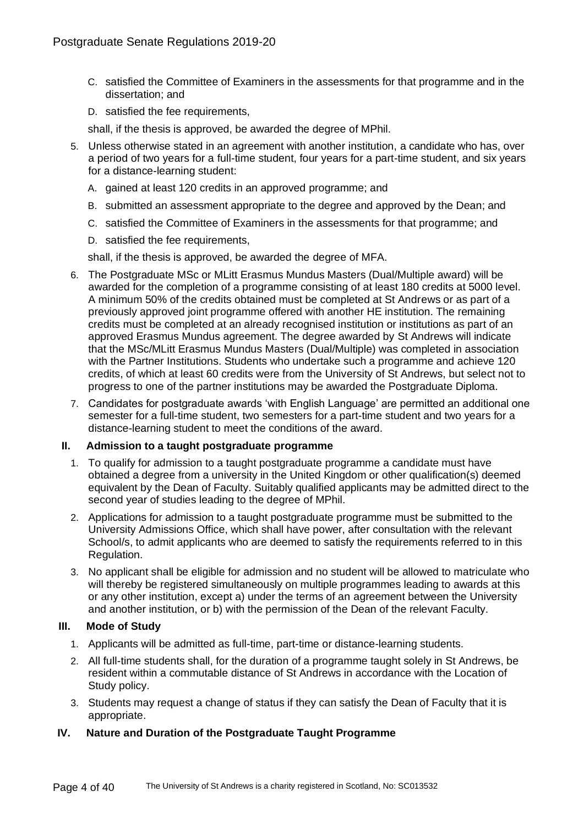- C. satisfied the Committee of Examiners in the assessments for that programme and in the dissertation; and
- D. satisfied the fee requirements,

shall, if the thesis is approved, be awarded the degree of MPhil.

- 5. Unless otherwise stated in an agreement with another institution, a candidate who has, over a period of two years for a full-time student, four years for a part-time student, and six years for a distance-learning student:
	- A. gained at least 120 credits in an approved programme; and
	- B. submitted an assessment appropriate to the degree and approved by the Dean; and
	- C. satisfied the Committee of Examiners in the assessments for that programme; and
	- D. satisfied the fee requirements,

shall, if the thesis is approved, be awarded the degree of MFA.

- 6. The Postgraduate MSc or MLitt Erasmus Mundus Masters (Dual/Multiple award) will be awarded for the completion of a programme consisting of at least 180 credits at 5000 level. A minimum 50% of the credits obtained must be completed at St Andrews or as part of a previously approved joint programme offered with another HE institution. The remaining credits must be completed at an already recognised institution or institutions as part of an approved Erasmus Mundus agreement. The degree awarded by St Andrews will indicate that the MSc/MLitt Erasmus Mundus Masters (Dual/Multiple) was completed in association with the Partner Institutions. Students who undertake such a programme and achieve 120 credits, of which at least 60 credits were from the University of St Andrews, but select not to progress to one of the partner institutions may be awarded the Postgraduate Diploma.
- 7. Candidates for postgraduate awards 'with English Language' are permitted an additional one semester for a full-time student, two semesters for a part-time student and two years for a distance-learning student to meet the conditions of the award.

#### **II. Admission to a taught postgraduate programme**

- 1. To qualify for admission to a taught postgraduate programme a candidate must have obtained a degree from a university in the United Kingdom or other qualification(s) deemed equivalent by the Dean of Faculty. Suitably qualified applicants may be admitted direct to the second year of studies leading to the degree of MPhil.
- 2. Applications for admission to a taught postgraduate programme must be submitted to the University Admissions Office, which shall have power, after consultation with the relevant School/s, to admit applicants who are deemed to satisfy the requirements referred to in this Regulation.
- 3. No applicant shall be eligible for admission and no student will be allowed to matriculate who will thereby be registered simultaneously on multiple programmes leading to awards at this or any other institution, except a) under the terms of an agreement between the University and another institution, or b) with the permission of the Dean of the relevant Faculty.

# **III. Mode of Study**

- 1. Applicants will be admitted as full-time, part-time or distance-learning students.
- 2. All full-time students shall, for the duration of a programme taught solely in St Andrews, be resident within a commutable distance of St Andrews in accordance with the Location of Study policy.
- 3. Students may request a change of status if they can satisfy the Dean of Faculty that it is appropriate.

# **IV. Nature and Duration of the Postgraduate Taught Programme**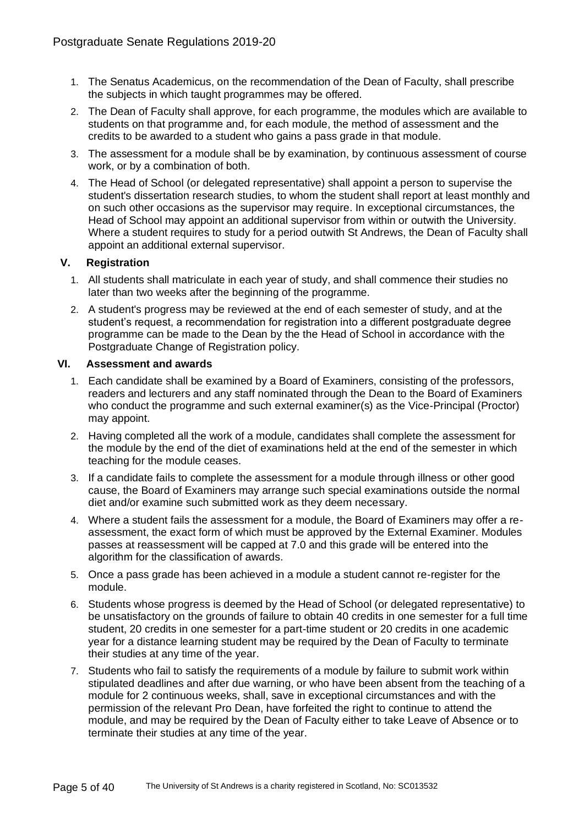- 1. The Senatus Academicus, on the recommendation of the Dean of Faculty, shall prescribe the subjects in which taught programmes may be offered.
- 2. The Dean of Faculty shall approve, for each programme, the modules which are available to students on that programme and, for each module, the method of assessment and the credits to be awarded to a student who gains a pass grade in that module.
- 3. The assessment for a module shall be by examination, by continuous assessment of course work, or by a combination of both.
- 4. The Head of School (or delegated representative) shall appoint a person to supervise the student's dissertation research studies, to whom the student shall report at least monthly and on such other occasions as the supervisor may require. In exceptional circumstances, the Head of School may appoint an additional supervisor from within or outwith the University. Where a student requires to study for a period outwith St Andrews, the Dean of Faculty shall appoint an additional external supervisor.

# **V. Registration**

- 1. All students shall matriculate in each year of study, and shall commence their studies no later than two weeks after the beginning of the programme.
- 2. A student's progress may be reviewed at the end of each semester of study, and at the student's request, a recommendation for registration into a different postgraduate degree programme can be made to the Dean by the the Head of School in accordance with the Postgraduate Change of Registration policy.

# **VI. Assessment and awards**

- 1. Each candidate shall be examined by a Board of Examiners, consisting of the professors, readers and lecturers and any staff nominated through the Dean to the Board of Examiners who conduct the programme and such external examiner(s) as the Vice-Principal (Proctor) may appoint.
- 2. Having completed all the work of a module, candidates shall complete the assessment for the module by the end of the diet of examinations held at the end of the semester in which teaching for the module ceases.
- 3. If a candidate fails to complete the assessment for a module through illness or other good cause, the Board of Examiners may arrange such special examinations outside the normal diet and/or examine such submitted work as they deem necessary.
- 4. Where a student fails the assessment for a module, the Board of Examiners may offer a reassessment, the exact form of which must be approved by the External Examiner. Modules passes at reassessment will be capped at 7.0 and this grade will be entered into the algorithm for the classification of awards.
- 5. Once a pass grade has been achieved in a module a student cannot re-register for the module.
- 6. Students whose progress is deemed by the Head of School (or delegated representative) to be unsatisfactory on the grounds of failure to obtain 40 credits in one semester for a full time student, 20 credits in one semester for a part-time student or 20 credits in one academic year for a distance learning student may be required by the Dean of Faculty to terminate their studies at any time of the year.
- 7. Students who fail to satisfy the requirements of a module by failure to submit work within stipulated deadlines and after due warning, or who have been absent from the teaching of a module for 2 continuous weeks, shall, save in exceptional circumstances and with the permission of the relevant Pro Dean, have forfeited the right to continue to attend the module, and may be required by the Dean of Faculty either to take Leave of Absence or to terminate their studies at any time of the year.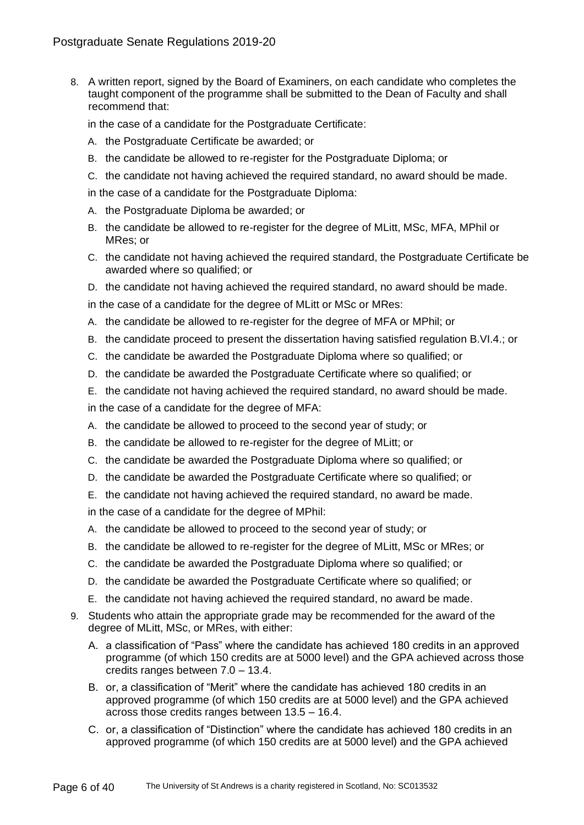8. A written report, signed by the Board of Examiners, on each candidate who completes the taught component of the programme shall be submitted to the Dean of Faculty and shall recommend that:

in the case of a candidate for the Postgraduate Certificate:

- A. the Postgraduate Certificate be awarded; or
- B. the candidate be allowed to re-register for the Postgraduate Diploma; or
- C. the candidate not having achieved the required standard, no award should be made.

in the case of a candidate for the Postgraduate Diploma:

- A. the Postgraduate Diploma be awarded; or
- B. the candidate be allowed to re-register for the degree of MLitt, MSc, MFA, MPhil or MRes; or
- C. the candidate not having achieved the required standard, the Postgraduate Certificate be awarded where so qualified; or
- D. the candidate not having achieved the required standard, no award should be made.

in the case of a candidate for the degree of MLitt or MSc or MRes:

- A. the candidate be allowed to re-register for the degree of MFA or MPhil; or
- B. the candidate proceed to present the dissertation having satisfied regulation B.VI.4.; or
- C. the candidate be awarded the Postgraduate Diploma where so qualified; or
- D. the candidate be awarded the Postgraduate Certificate where so qualified; or
- E. the candidate not having achieved the required standard, no award should be made.
- in the case of a candidate for the degree of MFA:
- A. the candidate be allowed to proceed to the second year of study; or
- B. the candidate be allowed to re-register for the degree of MLitt; or
- C. the candidate be awarded the Postgraduate Diploma where so qualified; or
- D. the candidate be awarded the Postgraduate Certificate where so qualified; or
- E. the candidate not having achieved the required standard, no award be made.

in the case of a candidate for the degree of MPhil:

- A. the candidate be allowed to proceed to the second year of study; or
- B. the candidate be allowed to re-register for the degree of MLitt, MSc or MRes; or
- C. the candidate be awarded the Postgraduate Diploma where so qualified; or
- D. the candidate be awarded the Postgraduate Certificate where so qualified; or
- E. the candidate not having achieved the required standard, no award be made.
- 9. Students who attain the appropriate grade may be recommended for the award of the degree of MLitt, MSc, or MRes, with either:
	- A. a classification of "Pass" where the candidate has achieved 180 credits in an approved programme (of which 150 credits are at 5000 level) and the GPA achieved across those credits ranges between 7.0 – 13.4.
	- B. or, a classification of "Merit" where the candidate has achieved 180 credits in an approved programme (of which 150 credits are at 5000 level) and the GPA achieved across those credits ranges between 13.5 – 16.4.
	- C. or, a classification of "Distinction" where the candidate has achieved 180 credits in an approved programme (of which 150 credits are at 5000 level) and the GPA achieved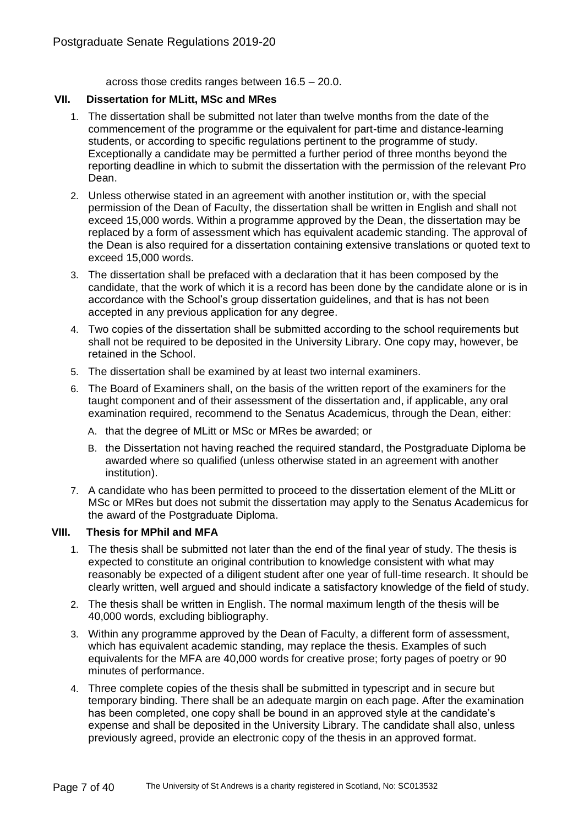across those credits ranges between 16.5 – 20.0.

# **VII. Dissertation for MLitt, MSc and MRes**

- 1. The dissertation shall be submitted not later than twelve months from the date of the commencement of the programme or the equivalent for part-time and distance-learning students, or according to specific regulations pertinent to the programme of study. Exceptionally a candidate may be permitted a further period of three months beyond the reporting deadline in which to submit the dissertation with the permission of the relevant Pro Dean.
- 2. Unless otherwise stated in an agreement with another institution or, with the special permission of the Dean of Faculty, the dissertation shall be written in English and shall not exceed 15,000 words. Within a programme approved by the Dean, the dissertation may be replaced by a form of assessment which has equivalent academic standing. The approval of the Dean is also required for a dissertation containing extensive translations or quoted text to exceed 15,000 words.
- 3. The dissertation shall be prefaced with a declaration that it has been composed by the candidate, that the work of which it is a record has been done by the candidate alone or is in accordance with the School's group dissertation guidelines, and that is has not been accepted in any previous application for any degree.
- 4. Two copies of the dissertation shall be submitted according to the school requirements but shall not be required to be deposited in the University Library. One copy may, however, be retained in the School.
- 5. The dissertation shall be examined by at least two internal examiners.
- 6. The Board of Examiners shall, on the basis of the written report of the examiners for the taught component and of their assessment of the dissertation and, if applicable, any oral examination required, recommend to the Senatus Academicus, through the Dean, either:
	- A. that the degree of MLitt or MSc or MRes be awarded; or
	- B. the Dissertation not having reached the required standard, the Postgraduate Diploma be awarded where so qualified (unless otherwise stated in an agreement with another institution).
- 7. A candidate who has been permitted to proceed to the dissertation element of the MLitt or MSc or MRes but does not submit the dissertation may apply to the Senatus Academicus for the award of the Postgraduate Diploma.

# **VIII. Thesis for MPhil and MFA**

- 1. The thesis shall be submitted not later than the end of the final year of study. The thesis is expected to constitute an original contribution to knowledge consistent with what may reasonably be expected of a diligent student after one year of full-time research. It should be clearly written, well argued and should indicate a satisfactory knowledge of the field of study.
- 2. The thesis shall be written in English. The normal maximum length of the thesis will be 40,000 words, excluding bibliography.
- 3. Within any programme approved by the Dean of Faculty, a different form of assessment, which has equivalent academic standing, may replace the thesis. Examples of such equivalents for the MFA are 40,000 words for creative prose; forty pages of poetry or 90 minutes of performance.
- 4. Three complete copies of the thesis shall be submitted in typescript and in secure but temporary binding. There shall be an adequate margin on each page. After the examination has been completed, one copy shall be bound in an approved style at the candidate's expense and shall be deposited in the University Library. The candidate shall also, unless previously agreed, provide an electronic copy of the thesis in an approved format.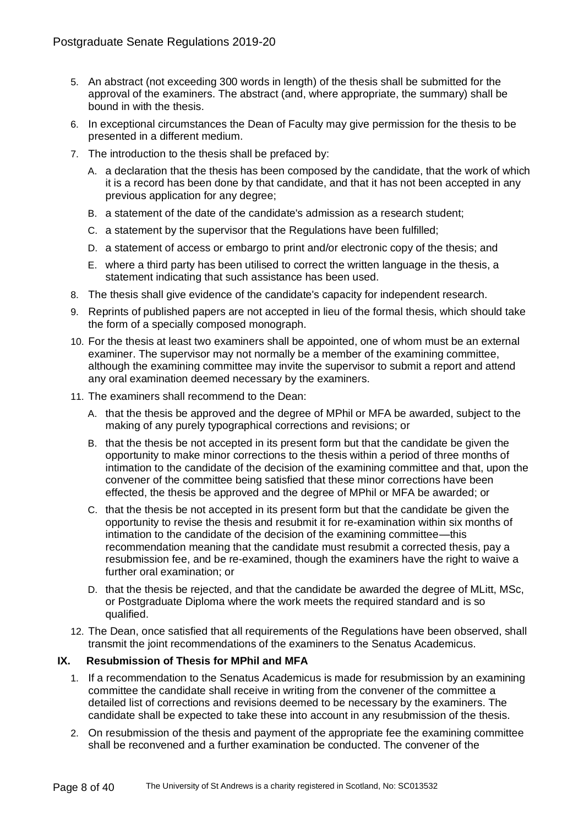- 5. An abstract (not exceeding 300 words in length) of the thesis shall be submitted for the approval of the examiners. The abstract (and, where appropriate, the summary) shall be bound in with the thesis.
- 6. In exceptional circumstances the Dean of Faculty may give permission for the thesis to be presented in a different medium.
- 7. The introduction to the thesis shall be prefaced by:
	- A. a declaration that the thesis has been composed by the candidate, that the work of which it is a record has been done by that candidate, and that it has not been accepted in any previous application for any degree;
	- B. a statement of the date of the candidate's admission as a research student;
	- C. a statement by the supervisor that the Regulations have been fulfilled;
	- D. a statement of access or embargo to print and/or electronic copy of the thesis; and
	- E. where a third party has been utilised to correct the written language in the thesis, a statement indicating that such assistance has been used.
- 8. The thesis shall give evidence of the candidate's capacity for independent research.
- 9. Reprints of published papers are not accepted in lieu of the formal thesis, which should take the form of a specially composed monograph.
- 10. For the thesis at least two examiners shall be appointed, one of whom must be an external examiner. The supervisor may not normally be a member of the examining committee, although the examining committee may invite the supervisor to submit a report and attend any oral examination deemed necessary by the examiners.
- 11. The examiners shall recommend to the Dean:
	- A. that the thesis be approved and the degree of MPhil or MFA be awarded, subject to the making of any purely typographical corrections and revisions; or
	- B. that the thesis be not accepted in its present form but that the candidate be given the opportunity to make minor corrections to the thesis within a period of three months of intimation to the candidate of the decision of the examining committee and that, upon the convener of the committee being satisfied that these minor corrections have been effected, the thesis be approved and the degree of MPhil or MFA be awarded; or
	- C. that the thesis be not accepted in its present form but that the candidate be given the opportunity to revise the thesis and resubmit it for re-examination within six months of intimation to the candidate of the decision of the examining committee—this recommendation meaning that the candidate must resubmit a corrected thesis, pay a resubmission fee, and be re-examined, though the examiners have the right to waive a further oral examination; or
	- D. that the thesis be rejected, and that the candidate be awarded the degree of MLitt, MSc, or Postgraduate Diploma where the work meets the required standard and is so qualified.
- 12. The Dean, once satisfied that all requirements of the Regulations have been observed, shall transmit the joint recommendations of the examiners to the Senatus Academicus.

# **IX. Resubmission of Thesis for MPhil and MFA**

- 1. If a recommendation to the Senatus Academicus is made for resubmission by an examining committee the candidate shall receive in writing from the convener of the committee a detailed list of corrections and revisions deemed to be necessary by the examiners. The candidate shall be expected to take these into account in any resubmission of the thesis.
- 2. On resubmission of the thesis and payment of the appropriate fee the examining committee shall be reconvened and a further examination be conducted. The convener of the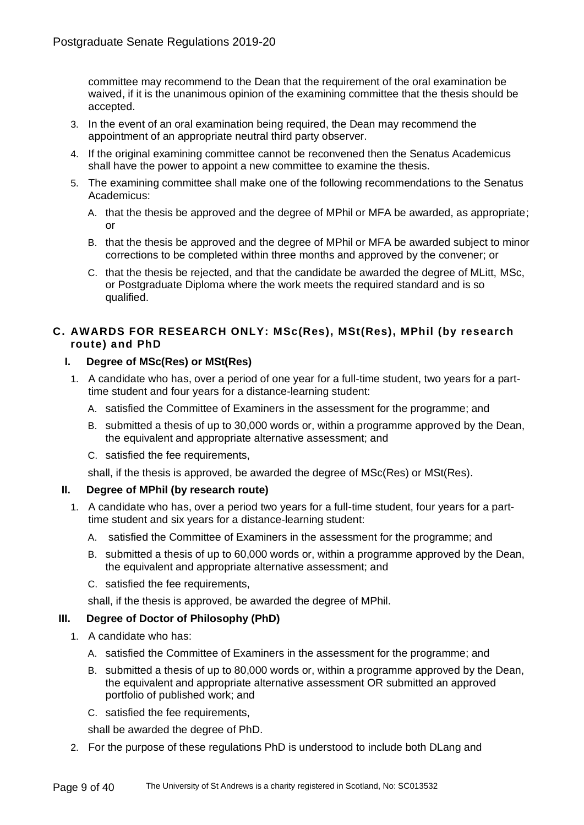committee may recommend to the Dean that the requirement of the oral examination be waived, if it is the unanimous opinion of the examining committee that the thesis should be accepted.

- 3. In the event of an oral examination being required, the Dean may recommend the appointment of an appropriate neutral third party observer.
- 4. If the original examining committee cannot be reconvened then the Senatus Academicus shall have the power to appoint a new committee to examine the thesis.
- 5. The examining committee shall make one of the following recommendations to the Senatus Academicus:
	- A. that the thesis be approved and the degree of MPhil or MFA be awarded, as appropriate; or
	- B. that the thesis be approved and the degree of MPhil or MFA be awarded subject to minor corrections to be completed within three months and approved by the convener; or
	- C. that the thesis be rejected, and that the candidate be awarded the degree of MLitt, MSc, or Postgraduate Diploma where the work meets the required standard and is so qualified.

# **C. AWARDS FOR RESEARCH ONLY: MSc(Res), MSt(Res), MPhil (by research route) and PhD**

# **I. Degree of MSc(Res) or MSt(Res)**

- 1. A candidate who has, over a period of one year for a full-time student, two years for a parttime student and four years for a distance-learning student:
	- A. satisfied the Committee of Examiners in the assessment for the programme; and
	- B. submitted a thesis of up to 30,000 words or, within a programme approved by the Dean, the equivalent and appropriate alternative assessment; and
	- C. satisfied the fee requirements,

shall, if the thesis is approved, be awarded the degree of MSc(Res) or MSt(Res).

# **II. Degree of MPhil (by research route)**

- 1. A candidate who has, over a period two years for a full-time student, four years for a parttime student and six years for a distance-learning student:
	- A. satisfied the Committee of Examiners in the assessment for the programme; and
	- B. submitted a thesis of up to 60,000 words or, within a programme approved by the Dean, the equivalent and appropriate alternative assessment; and
	- C. satisfied the fee requirements,

shall, if the thesis is approved, be awarded the degree of MPhil.

# **III. Degree of Doctor of Philosophy (PhD)**

- 1. A candidate who has:
	- A. satisfied the Committee of Examiners in the assessment for the programme; and
	- B. submitted a thesis of up to 80,000 words or, within a programme approved by the Dean, the equivalent and appropriate alternative assessment OR submitted an approved portfolio of published work; and
	- C. satisfied the fee requirements,

shall be awarded the degree of PhD.

2. For the purpose of these regulations PhD is understood to include both DLang and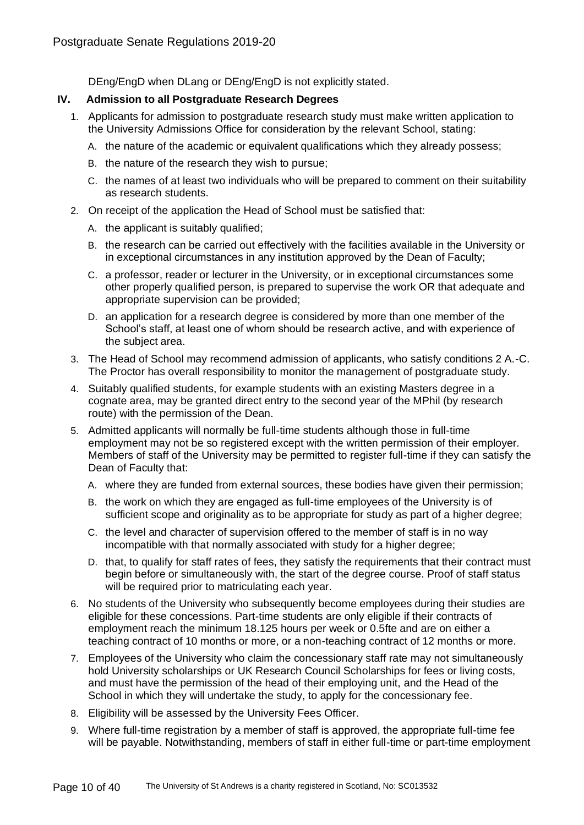DEng/EngD when DLang or DEng/EngD is not explicitly stated.

# **IV. Admission to all Postgraduate Research Degrees**

- 1. Applicants for admission to postgraduate research study must make written application to the University Admissions Office for consideration by the relevant School, stating:
	- A. the nature of the academic or equivalent qualifications which they already possess;
	- B. the nature of the research they wish to pursue;
	- C. the names of at least two individuals who will be prepared to comment on their suitability as research students.
- 2. On receipt of the application the Head of School must be satisfied that:
	- A. the applicant is suitably qualified;
	- B. the research can be carried out effectively with the facilities available in the University or in exceptional circumstances in any institution approved by the Dean of Faculty;
	- C. a professor, reader or lecturer in the University, or in exceptional circumstances some other properly qualified person, is prepared to supervise the work OR that adequate and appropriate supervision can be provided;
	- D. an application for a research degree is considered by more than one member of the School's staff, at least one of whom should be research active, and with experience of the subject area.
- 3. The Head of School may recommend admission of applicants, who satisfy conditions 2 A.-C. The Proctor has overall responsibility to monitor the management of postgraduate study.
- 4. Suitably qualified students, for example students with an existing Masters degree in a cognate area, may be granted direct entry to the second year of the MPhil (by research route) with the permission of the Dean.
- 5. Admitted applicants will normally be full-time students although those in full-time employment may not be so registered except with the written permission of their employer. Members of staff of the University may be permitted to register full-time if they can satisfy the Dean of Faculty that:
	- A. where they are funded from external sources, these bodies have given their permission;
	- B. the work on which they are engaged as full-time employees of the University is of sufficient scope and originality as to be appropriate for study as part of a higher degree;
	- C. the level and character of supervision offered to the member of staff is in no way incompatible with that normally associated with study for a higher degree;
	- D. that, to qualify for staff rates of fees, they satisfy the requirements that their contract must begin before or simultaneously with, the start of the degree course. Proof of staff status will be required prior to matriculating each year.
- 6. No students of the University who subsequently become employees during their studies are eligible for these concessions. Part-time students are only eligible if their contracts of employment reach the minimum 18.125 hours per week or 0.5fte and are on either a teaching contract of 10 months or more, or a non-teaching contract of 12 months or more.
- 7. Employees of the University who claim the concessionary staff rate may not simultaneously hold University scholarships or UK Research Council Scholarships for fees or living costs, and must have the permission of the head of their employing unit, and the Head of the School in which they will undertake the study, to apply for the concessionary fee.
- 8. Eligibility will be assessed by the University Fees Officer.
- 9. Where full-time registration by a member of staff is approved, the appropriate full-time fee will be payable. Notwithstanding, members of staff in either full-time or part-time employment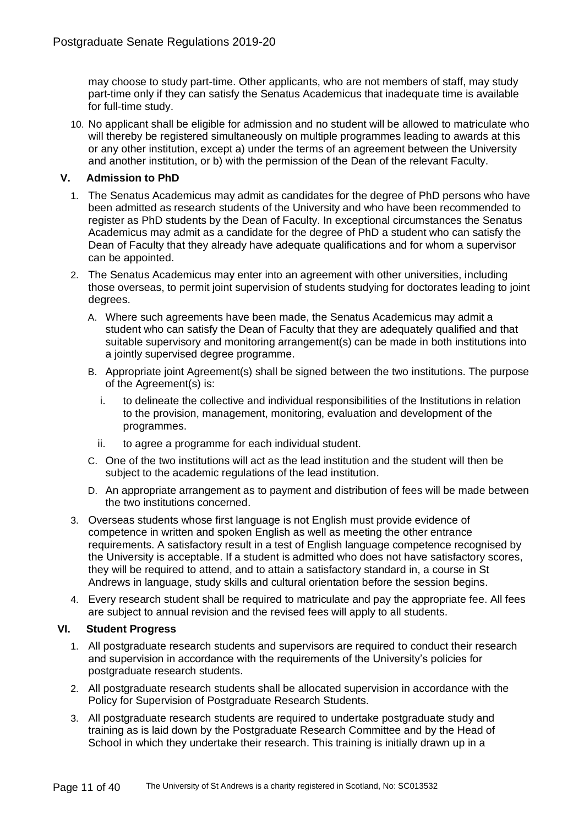may choose to study part-time. Other applicants, who are not members of staff, may study part-time only if they can satisfy the Senatus Academicus that inadequate time is available for full-time study.

10. No applicant shall be eligible for admission and no student will be allowed to matriculate who will thereby be registered simultaneously on multiple programmes leading to awards at this or any other institution, except a) under the terms of an agreement between the University and another institution, or b) with the permission of the Dean of the relevant Faculty.

# **V. Admission to PhD**

- 1. The Senatus Academicus may admit as candidates for the degree of PhD persons who have been admitted as research students of the University and who have been recommended to register as PhD students by the Dean of Faculty. In exceptional circumstances the Senatus Academicus may admit as a candidate for the degree of PhD a student who can satisfy the Dean of Faculty that they already have adequate qualifications and for whom a supervisor can be appointed.
- 2. The Senatus Academicus may enter into an agreement with other universities, including those overseas, to permit joint supervision of students studying for doctorates leading to joint degrees.
	- A. Where such agreements have been made, the Senatus Academicus may admit a student who can satisfy the Dean of Faculty that they are adequately qualified and that suitable supervisory and monitoring arrangement(s) can be made in both institutions into a jointly supervised degree programme.
	- B. Appropriate joint Agreement(s) shall be signed between the two institutions. The purpose of the Agreement(s) is:
		- i. to delineate the collective and individual responsibilities of the Institutions in relation to the provision, management, monitoring, evaluation and development of the programmes.
		- ii. to agree a programme for each individual student.
	- C. One of the two institutions will act as the lead institution and the student will then be subject to the academic regulations of the lead institution.
	- D. An appropriate arrangement as to payment and distribution of fees will be made between the two institutions concerned.
- 3. Overseas students whose first language is not English must provide evidence of competence in written and spoken English as well as meeting the other entrance requirements. A satisfactory result in a test of English language competence recognised by the University is acceptable. If a student is admitted who does not have satisfactory scores, they will be required to attend, and to attain a satisfactory standard in, a course in St Andrews in language, study skills and cultural orientation before the session begins.
- 4. Every research student shall be required to matriculate and pay the appropriate fee. All fees are subject to annual revision and the revised fees will apply to all students.

# **VI. Student Progress**

- 1. All postgraduate research students and supervisors are required to conduct their research and supervision in accordance with the requirements of the University's policies for postgraduate research students.
- 2. All postgraduate research students shall be allocated supervision in accordance with the Policy for Supervision of Postgraduate Research Students.
- 3. All postgraduate research students are required to undertake postgraduate study and training as is laid down by the Postgraduate Research Committee and by the Head of School in which they undertake their research. This training is initially drawn up in a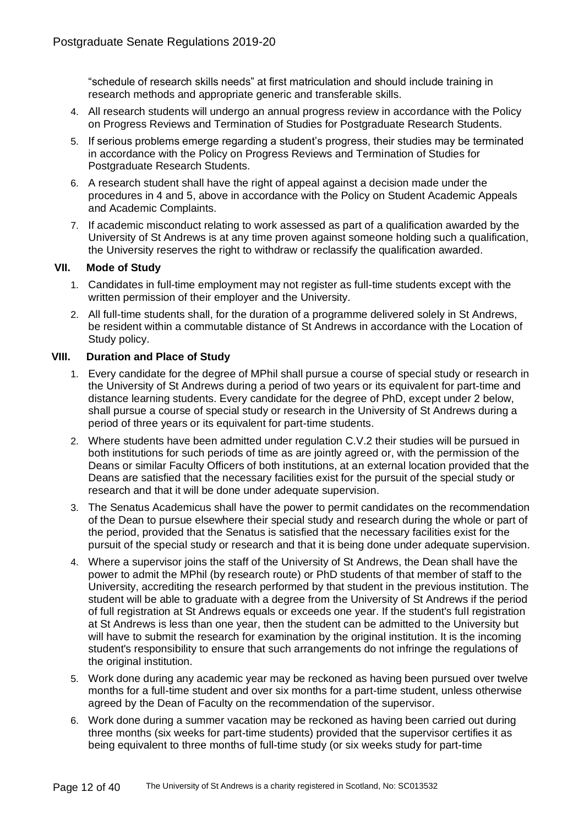"schedule of research skills needs" at first matriculation and should include training in research methods and appropriate generic and transferable skills.

- 4. All research students will undergo an annual progress review in accordance with the Policy on Progress Reviews and Termination of Studies for Postgraduate Research Students.
- 5. If serious problems emerge regarding a student's progress, their studies may be terminated in accordance with the Policy on Progress Reviews and Termination of Studies for Postgraduate Research Students.
- 6. A research student shall have the right of appeal against a decision made under the procedures in 4 and 5, above in accordance with the Policy on Student Academic Appeals and Academic Complaints.
- 7. If academic misconduct relating to work assessed as part of a qualification awarded by the University of St Andrews is at any time proven against someone holding such a qualification, the University reserves the right to withdraw or reclassify the qualification awarded.

# **VII. Mode of Study**

- 1. Candidates in full-time employment may not register as full-time students except with the written permission of their employer and the University.
- 2. All full-time students shall, for the duration of a programme delivered solely in St Andrews, be resident within a commutable distance of St Andrews in accordance with the Location of Study policy.

# **VIII. Duration and Place of Study**

- 1. Every candidate for the degree of MPhil shall pursue a course of special study or research in the University of St Andrews during a period of two years or its equivalent for part-time and distance learning students. Every candidate for the degree of PhD, except under 2 below, shall pursue a course of special study or research in the University of St Andrews during a period of three years or its equivalent for part-time students.
- 2. Where students have been admitted under regulation C.V.2 their studies will be pursued in both institutions for such periods of time as are jointly agreed or, with the permission of the Deans or similar Faculty Officers of both institutions, at an external location provided that the Deans are satisfied that the necessary facilities exist for the pursuit of the special study or research and that it will be done under adequate supervision.
- 3. The Senatus Academicus shall have the power to permit candidates on the recommendation of the Dean to pursue elsewhere their special study and research during the whole or part of the period, provided that the Senatus is satisfied that the necessary facilities exist for the pursuit of the special study or research and that it is being done under adequate supervision.
- 4. Where a supervisor joins the staff of the University of St Andrews, the Dean shall have the power to admit the MPhil (by research route) or PhD students of that member of staff to the University, accrediting the research performed by that student in the previous institution. The student will be able to graduate with a degree from the University of St Andrews if the period of full registration at St Andrews equals or exceeds one year. If the student's full registration at St Andrews is less than one year, then the student can be admitted to the University but will have to submit the research for examination by the original institution. It is the incoming student's responsibility to ensure that such arrangements do not infringe the regulations of the original institution.
- 5. Work done during any academic year may be reckoned as having been pursued over twelve months for a full-time student and over six months for a part-time student, unless otherwise agreed by the Dean of Faculty on the recommendation of the supervisor.
- 6. Work done during a summer vacation may be reckoned as having been carried out during three months (six weeks for part-time students) provided that the supervisor certifies it as being equivalent to three months of full-time study (or six weeks study for part-time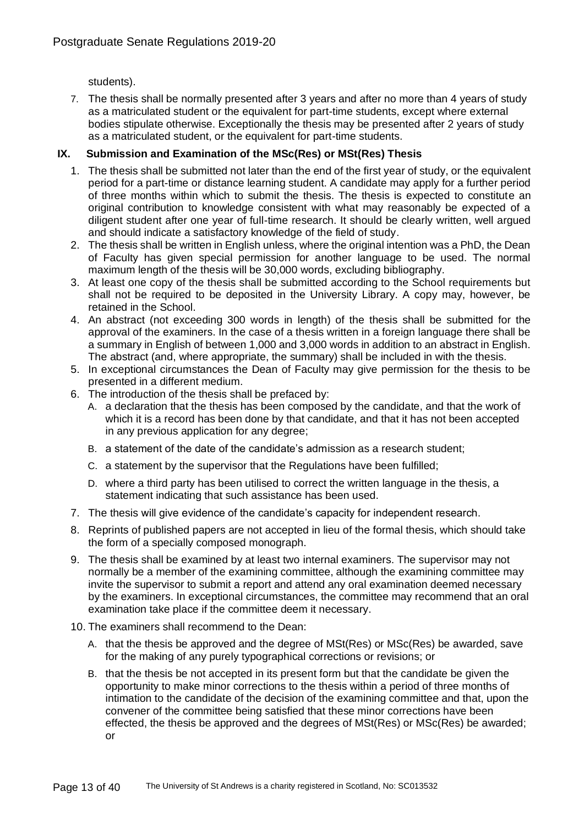students).

7. The thesis shall be normally presented after 3 years and after no more than 4 years of study as a matriculated student or the equivalent for part-time students, except where external bodies stipulate otherwise. Exceptionally the thesis may be presented after 2 years of study as a matriculated student, or the equivalent for part-time students.

# **IX. Submission and Examination of the MSc(Res) or MSt(Res) Thesis**

- 1. The thesis shall be submitted not later than the end of the first year of study, or the equivalent period for a part-time or distance learning student. A candidate may apply for a further period of three months within which to submit the thesis. The thesis is expected to constitute an original contribution to knowledge consistent with what may reasonably be expected of a diligent student after one year of full-time research. It should be clearly written, well argued and should indicate a satisfactory knowledge of the field of study.
- 2. The thesis shall be written in English unless, where the original intention was a PhD, the Dean of Faculty has given special permission for another language to be used. The normal maximum length of the thesis will be 30,000 words, excluding bibliography.
- 3. At least one copy of the thesis shall be submitted according to the School requirements but shall not be required to be deposited in the University Library. A copy may, however, be retained in the School.
- 4. An abstract (not exceeding 300 words in length) of the thesis shall be submitted for the approval of the examiners. In the case of a thesis written in a foreign language there shall be a summary in English of between 1,000 and 3,000 words in addition to an abstract in English. The abstract (and, where appropriate, the summary) shall be included in with the thesis.
- 5. In exceptional circumstances the Dean of Faculty may give permission for the thesis to be presented in a different medium.
- 6. The introduction of the thesis shall be prefaced by:
	- A. a declaration that the thesis has been composed by the candidate, and that the work of which it is a record has been done by that candidate, and that it has not been accepted in any previous application for any degree;
	- B. a statement of the date of the candidate's admission as a research student;
	- C. a statement by the supervisor that the Regulations have been fulfilled;
	- D. where a third party has been utilised to correct the written language in the thesis, a statement indicating that such assistance has been used.
- 7. The thesis will give evidence of the candidate's capacity for independent research.
- 8. Reprints of published papers are not accepted in lieu of the formal thesis, which should take the form of a specially composed monograph.
- 9. The thesis shall be examined by at least two internal examiners. The supervisor may not normally be a member of the examining committee, although the examining committee may invite the supervisor to submit a report and attend any oral examination deemed necessary by the examiners. In exceptional circumstances, the committee may recommend that an oral examination take place if the committee deem it necessary.
- 10. The examiners shall recommend to the Dean:
	- A. that the thesis be approved and the degree of MSt(Res) or MSc(Res) be awarded, save for the making of any purely typographical corrections or revisions; or
	- B. that the thesis be not accepted in its present form but that the candidate be given the opportunity to make minor corrections to the thesis within a period of three months of intimation to the candidate of the decision of the examining committee and that, upon the convener of the committee being satisfied that these minor corrections have been effected, the thesis be approved and the degrees of MSt(Res) or MSc(Res) be awarded; or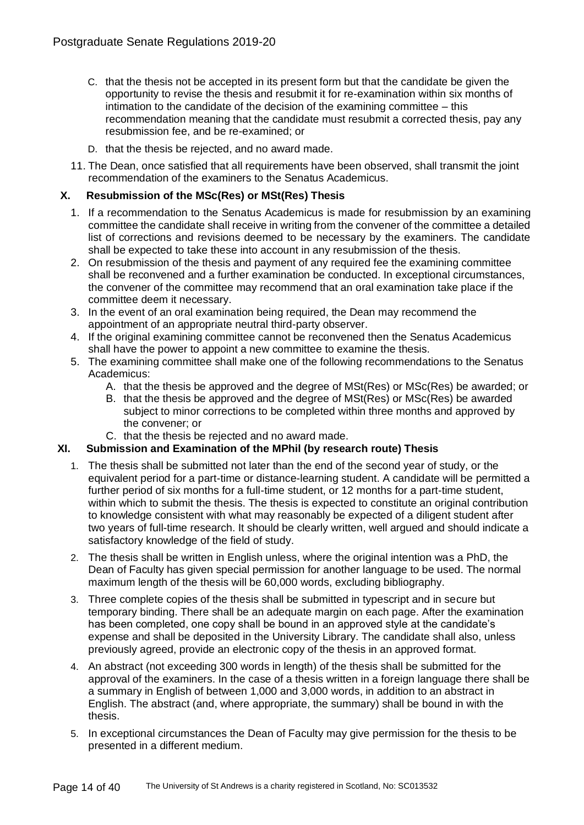- C. that the thesis not be accepted in its present form but that the candidate be given the opportunity to revise the thesis and resubmit it for re-examination within six months of intimation to the candidate of the decision of the examining committee – this recommendation meaning that the candidate must resubmit a corrected thesis, pay any resubmission fee, and be re-examined; or
- D. that the thesis be rejected, and no award made.
- 11. The Dean, once satisfied that all requirements have been observed, shall transmit the joint recommendation of the examiners to the Senatus Academicus.

# **X. Resubmission of the MSc(Res) or MSt(Res) Thesis**

- 1. If a recommendation to the Senatus Academicus is made for resubmission by an examining committee the candidate shall receive in writing from the convener of the committee a detailed list of corrections and revisions deemed to be necessary by the examiners. The candidate shall be expected to take these into account in any resubmission of the thesis.
- 2. On resubmission of the thesis and payment of any required fee the examining committee shall be reconvened and a further examination be conducted. In exceptional circumstances, the convener of the committee may recommend that an oral examination take place if the committee deem it necessary.
- 3. In the event of an oral examination being required, the Dean may recommend the appointment of an appropriate neutral third-party observer.
- 4. If the original examining committee cannot be reconvened then the Senatus Academicus shall have the power to appoint a new committee to examine the thesis.
- 5. The examining committee shall make one of the following recommendations to the Senatus Academicus:
	- A. that the thesis be approved and the degree of MSt(Res) or MSc(Res) be awarded; or
	- B. that the thesis be approved and the degree of MSt(Res) or MSc(Res) be awarded subject to minor corrections to be completed within three months and approved by the convener; or
	- C. that the thesis be rejected and no award made.

# **XI. Submission and Examination of the MPhil (by research route) Thesis**

- 1. The thesis shall be submitted not later than the end of the second year of study, or the equivalent period for a part-time or distance-learning student. A candidate will be permitted a further period of six months for a full-time student, or 12 months for a part-time student, within which to submit the thesis. The thesis is expected to constitute an original contribution to knowledge consistent with what may reasonably be expected of a diligent student after two years of full-time research. It should be clearly written, well argued and should indicate a satisfactory knowledge of the field of study.
- 2. The thesis shall be written in English unless, where the original intention was a PhD, the Dean of Faculty has given special permission for another language to be used. The normal maximum length of the thesis will be 60,000 words, excluding bibliography.
- 3. Three complete copies of the thesis shall be submitted in typescript and in secure but temporary binding. There shall be an adequate margin on each page. After the examination has been completed, one copy shall be bound in an approved style at the candidate's expense and shall be deposited in the University Library. The candidate shall also, unless previously agreed, provide an electronic copy of the thesis in an approved format.
- 4. An abstract (not exceeding 300 words in length) of the thesis shall be submitted for the approval of the examiners. In the case of a thesis written in a foreign language there shall be a summary in English of between 1,000 and 3,000 words, in addition to an abstract in English. The abstract (and, where appropriate, the summary) shall be bound in with the thesis.
- 5. In exceptional circumstances the Dean of Faculty may give permission for the thesis to be presented in a different medium.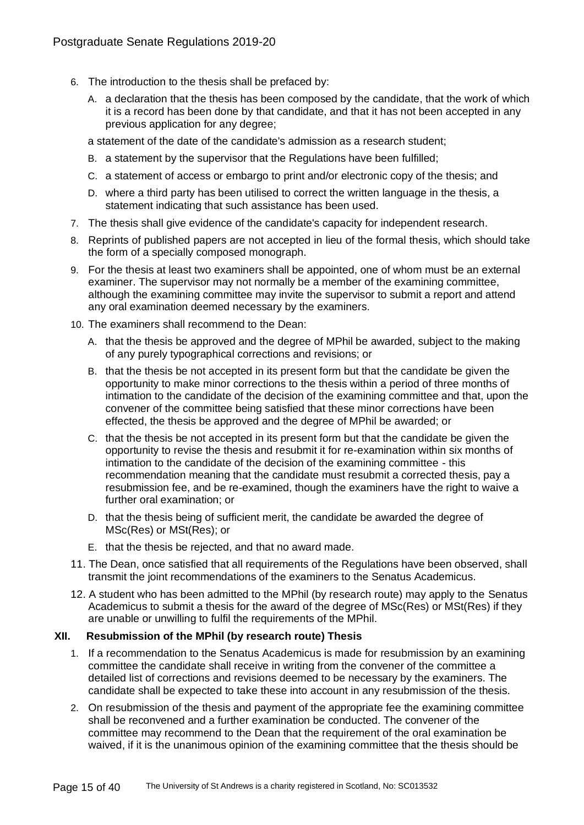- 6. The introduction to the thesis shall be prefaced by:
	- A. a declaration that the thesis has been composed by the candidate, that the work of which it is a record has been done by that candidate, and that it has not been accepted in any previous application for any degree;
	- a statement of the date of the candidate's admission as a research student;
	- B. a statement by the supervisor that the Regulations have been fulfilled;
	- C. a statement of access or embargo to print and/or electronic copy of the thesis; and
	- D. where a third party has been utilised to correct the written language in the thesis, a statement indicating that such assistance has been used.
- 7. The thesis shall give evidence of the candidate's capacity for independent research.
- 8. Reprints of published papers are not accepted in lieu of the formal thesis, which should take the form of a specially composed monograph.
- 9. For the thesis at least two examiners shall be appointed, one of whom must be an external examiner. The supervisor may not normally be a member of the examining committee, although the examining committee may invite the supervisor to submit a report and attend any oral examination deemed necessary by the examiners.
- 10. The examiners shall recommend to the Dean:
	- A. that the thesis be approved and the degree of MPhil be awarded, subject to the making of any purely typographical corrections and revisions; or
	- B. that the thesis be not accepted in its present form but that the candidate be given the opportunity to make minor corrections to the thesis within a period of three months of intimation to the candidate of the decision of the examining committee and that, upon the convener of the committee being satisfied that these minor corrections have been effected, the thesis be approved and the degree of MPhil be awarded; or
	- C. that the thesis be not accepted in its present form but that the candidate be given the opportunity to revise the thesis and resubmit it for re-examination within six months of intimation to the candidate of the decision of the examining committee - this recommendation meaning that the candidate must resubmit a corrected thesis, pay a resubmission fee, and be re-examined, though the examiners have the right to waive a further oral examination; or
	- D. that the thesis being of sufficient merit, the candidate be awarded the degree of MSc(Res) or MSt(Res); or
	- E. that the thesis be rejected, and that no award made.
- 11. The Dean, once satisfied that all requirements of the Regulations have been observed, shall transmit the joint recommendations of the examiners to the Senatus Academicus.
- 12. A student who has been admitted to the MPhil (by research route) may apply to the Senatus Academicus to submit a thesis for the award of the degree of MSc(Res) or MSt(Res) if they are unable or unwilling to fulfil the requirements of the MPhil.

# **XII. Resubmission of the MPhil (by research route) Thesis**

- 1. If a recommendation to the Senatus Academicus is made for resubmission by an examining committee the candidate shall receive in writing from the convener of the committee a detailed list of corrections and revisions deemed to be necessary by the examiners. The candidate shall be expected to take these into account in any resubmission of the thesis.
- 2. On resubmission of the thesis and payment of the appropriate fee the examining committee shall be reconvened and a further examination be conducted. The convener of the committee may recommend to the Dean that the requirement of the oral examination be waived, if it is the unanimous opinion of the examining committee that the thesis should be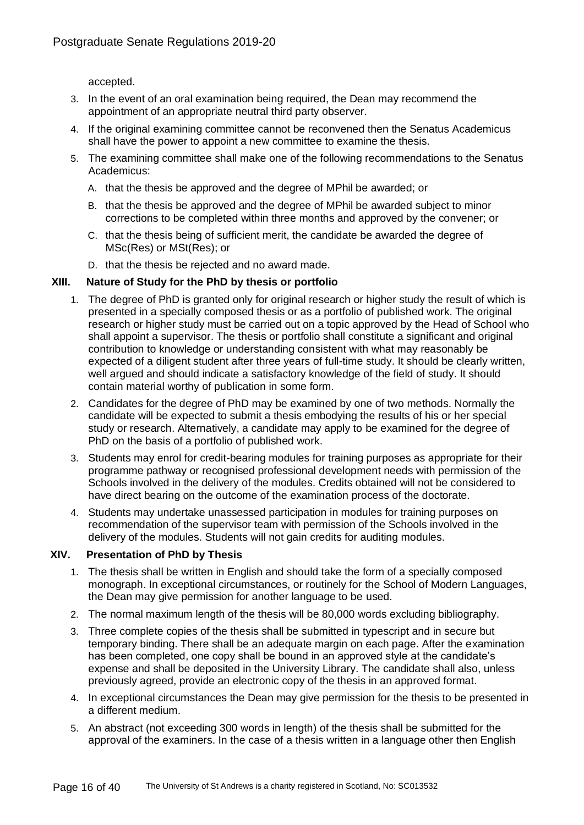accepted.

- 3. In the event of an oral examination being required, the Dean may recommend the appointment of an appropriate neutral third party observer.
- 4. If the original examining committee cannot be reconvened then the Senatus Academicus shall have the power to appoint a new committee to examine the thesis.
- 5. The examining committee shall make one of the following recommendations to the Senatus Academicus:
	- A. that the thesis be approved and the degree of MPhil be awarded; or
	- B. that the thesis be approved and the degree of MPhil be awarded subject to minor corrections to be completed within three months and approved by the convener; or
	- C. that the thesis being of sufficient merit, the candidate be awarded the degree of MSc(Res) or MSt(Res); or
	- D. that the thesis be rejected and no award made.

# **XIII. Nature of Study for the PhD by thesis or portfolio**

- 1. The degree of PhD is granted only for original research or higher study the result of which is presented in a specially composed thesis or as a portfolio of published work. The original research or higher study must be carried out on a topic approved by the Head of School who shall appoint a supervisor. The thesis or portfolio shall constitute a significant and original contribution to knowledge or understanding consistent with what may reasonably be expected of a diligent student after three years of full-time study. It should be clearly written, well argued and should indicate a satisfactory knowledge of the field of study. It should contain material worthy of publication in some form.
- 2. Candidates for the degree of PhD may be examined by one of two methods. Normally the candidate will be expected to submit a thesis embodying the results of his or her special study or research. Alternatively, a candidate may apply to be examined for the degree of PhD on the basis of a portfolio of published work.
- 3. Students may enrol for credit-bearing modules for training purposes as appropriate for their programme pathway or recognised professional development needs with permission of the Schools involved in the delivery of the modules. Credits obtained will not be considered to have direct bearing on the outcome of the examination process of the doctorate.
- 4. Students may undertake unassessed participation in modules for training purposes on recommendation of the supervisor team with permission of the Schools involved in the delivery of the modules. Students will not gain credits for auditing modules.

# **XIV. Presentation of PhD by Thesis**

- 1. The thesis shall be written in English and should take the form of a specially composed monograph. In exceptional circumstances, or routinely for the School of Modern Languages, the Dean may give permission for another language to be used.
- 2. The normal maximum length of the thesis will be 80,000 words excluding bibliography.
- 3. Three complete copies of the thesis shall be submitted in typescript and in secure but temporary binding. There shall be an adequate margin on each page. After the examination has been completed, one copy shall be bound in an approved style at the candidate's expense and shall be deposited in the University Library. The candidate shall also, unless previously agreed, provide an electronic copy of the thesis in an approved format.
- 4. In exceptional circumstances the Dean may give permission for the thesis to be presented in a different medium.
- 5. An abstract (not exceeding 300 words in length) of the thesis shall be submitted for the approval of the examiners. In the case of a thesis written in a language other then English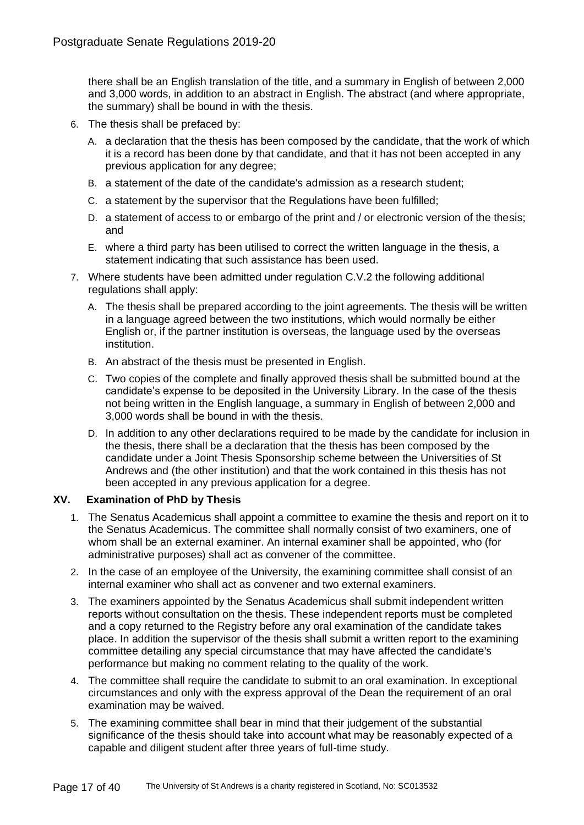there shall be an English translation of the title, and a summary in English of between 2,000 and 3,000 words, in addition to an abstract in English. The abstract (and where appropriate, the summary) shall be bound in with the thesis.

- 6. The thesis shall be prefaced by:
	- A. a declaration that the thesis has been composed by the candidate, that the work of which it is a record has been done by that candidate, and that it has not been accepted in any previous application for any degree;
	- B. a statement of the date of the candidate's admission as a research student;
	- C. a statement by the supervisor that the Regulations have been fulfilled;
	- D. a statement of access to or embargo of the print and / or electronic version of the thesis; and
	- E. where a third party has been utilised to correct the written language in the thesis, a statement indicating that such assistance has been used.
- 7. Where students have been admitted under regulation C.V.2 the following additional regulations shall apply:
	- A. The thesis shall be prepared according to the joint agreements. The thesis will be written in a language agreed between the two institutions, which would normally be either English or, if the partner institution is overseas, the language used by the overseas institution.
	- B. An abstract of the thesis must be presented in English.
	- C. Two copies of the complete and finally approved thesis shall be submitted bound at the candidate's expense to be deposited in the University Library. In the case of the thesis not being written in the English language, a summary in English of between 2,000 and 3,000 words shall be bound in with the thesis.
	- D. In addition to any other declarations required to be made by the candidate for inclusion in the thesis, there shall be a declaration that the thesis has been composed by the candidate under a Joint Thesis Sponsorship scheme between the Universities of St Andrews and (the other institution) and that the work contained in this thesis has not been accepted in any previous application for a degree.

# **XV. Examination of PhD by Thesis**

- 1. The Senatus Academicus shall appoint a committee to examine the thesis and report on it to the Senatus Academicus. The committee shall normally consist of two examiners, one of whom shall be an external examiner. An internal examiner shall be appointed, who (for administrative purposes) shall act as convener of the committee.
- 2. In the case of an employee of the University, the examining committee shall consist of an internal examiner who shall act as convener and two external examiners.
- 3. The examiners appointed by the Senatus Academicus shall submit independent written reports without consultation on the thesis. These independent reports must be completed and a copy returned to the Registry before any oral examination of the candidate takes place. In addition the supervisor of the thesis shall submit a written report to the examining committee detailing any special circumstance that may have affected the candidate's performance but making no comment relating to the quality of the work.
- 4. The committee shall require the candidate to submit to an oral examination. In exceptional circumstances and only with the express approval of the Dean the requirement of an oral examination may be waived.
- 5. The examining committee shall bear in mind that their judgement of the substantial significance of the thesis should take into account what may be reasonably expected of a capable and diligent student after three years of full-time study.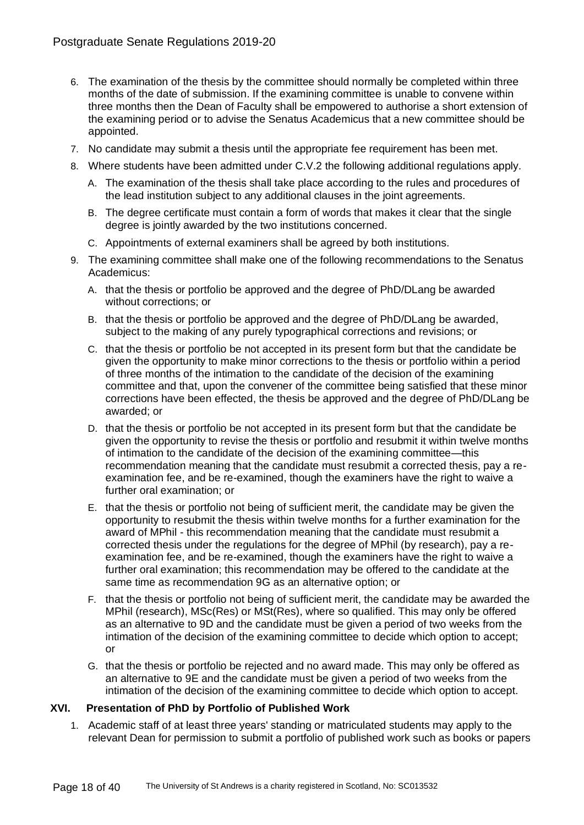- 6. The examination of the thesis by the committee should normally be completed within three months of the date of submission. If the examining committee is unable to convene within three months then the Dean of Faculty shall be empowered to authorise a short extension of the examining period or to advise the Senatus Academicus that a new committee should be appointed.
- 7. No candidate may submit a thesis until the appropriate fee requirement has been met.
- 8. Where students have been admitted under C.V.2 the following additional regulations apply.
	- A. The examination of the thesis shall take place according to the rules and procedures of the lead institution subject to any additional clauses in the joint agreements.
	- B. The degree certificate must contain a form of words that makes it clear that the single degree is jointly awarded by the two institutions concerned.
	- C. Appointments of external examiners shall be agreed by both institutions.
- 9. The examining committee shall make one of the following recommendations to the Senatus Academicus:
	- A. that the thesis or portfolio be approved and the degree of PhD/DLang be awarded without corrections; or
	- B. that the thesis or portfolio be approved and the degree of PhD/DLang be awarded, subject to the making of any purely typographical corrections and revisions; or
	- C. that the thesis or portfolio be not accepted in its present form but that the candidate be given the opportunity to make minor corrections to the thesis or portfolio within a period of three months of the intimation to the candidate of the decision of the examining committee and that, upon the convener of the committee being satisfied that these minor corrections have been effected, the thesis be approved and the degree of PhD/DLang be awarded; or
	- D. that the thesis or portfolio be not accepted in its present form but that the candidate be given the opportunity to revise the thesis or portfolio and resubmit it within twelve months of intimation to the candidate of the decision of the examining committee—this recommendation meaning that the candidate must resubmit a corrected thesis, pay a reexamination fee, and be re-examined, though the examiners have the right to waive a further oral examination; or
	- E. that the thesis or portfolio not being of sufficient merit, the candidate may be given the opportunity to resubmit the thesis within twelve months for a further examination for the award of MPhil - this recommendation meaning that the candidate must resubmit a corrected thesis under the regulations for the degree of MPhil (by research), pay a reexamination fee, and be re-examined, though the examiners have the right to waive a further oral examination; this recommendation may be offered to the candidate at the same time as recommendation 9G as an alternative option; or
	- F. that the thesis or portfolio not being of sufficient merit, the candidate may be awarded the MPhil (research), MSc(Res) or MSt(Res), where so qualified. This may only be offered as an alternative to 9D and the candidate must be given a period of two weeks from the intimation of the decision of the examining committee to decide which option to accept; or
	- G. that the thesis or portfolio be rejected and no award made. This may only be offered as an alternative to 9E and the candidate must be given a period of two weeks from the intimation of the decision of the examining committee to decide which option to accept.

# **XVI. Presentation of PhD by Portfolio of Published Work**

1. Academic staff of at least three years' standing or matriculated students may apply to the relevant Dean for permission to submit a portfolio of published work such as books or papers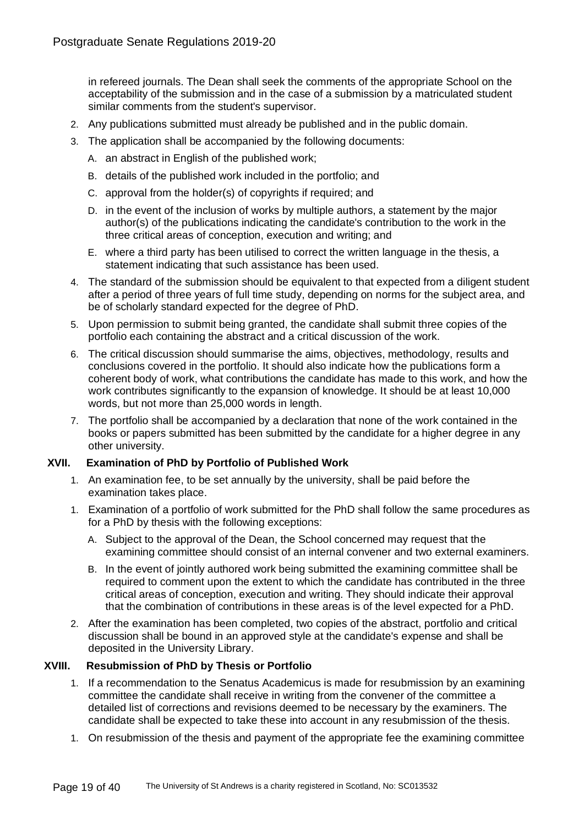in refereed journals. The Dean shall seek the comments of the appropriate School on the acceptability of the submission and in the case of a submission by a matriculated student similar comments from the student's supervisor.

- 2. Any publications submitted must already be published and in the public domain.
- 3. The application shall be accompanied by the following documents:
	- A. an abstract in English of the published work;
	- B. details of the published work included in the portfolio; and
	- C. approval from the holder(s) of copyrights if required; and
	- D. in the event of the inclusion of works by multiple authors, a statement by the major author(s) of the publications indicating the candidate's contribution to the work in the three critical areas of conception, execution and writing; and
	- E. where a third party has been utilised to correct the written language in the thesis, a statement indicating that such assistance has been used.
- 4. The standard of the submission should be equivalent to that expected from a diligent student after a period of three years of full time study, depending on norms for the subject area, and be of scholarly standard expected for the degree of PhD.
- 5. Upon permission to submit being granted, the candidate shall submit three copies of the portfolio each containing the abstract and a critical discussion of the work.
- 6. The critical discussion should summarise the aims, objectives, methodology, results and conclusions covered in the portfolio. It should also indicate how the publications form a coherent body of work, what contributions the candidate has made to this work, and how the work contributes significantly to the expansion of knowledge. It should be at least 10,000 words, but not more than 25,000 words in length.
- 7. The portfolio shall be accompanied by a declaration that none of the work contained in the books or papers submitted has been submitted by the candidate for a higher degree in any other university.

# **XVII. Examination of PhD by Portfolio of Published Work**

- 1. An examination fee, to be set annually by the university, shall be paid before the examination takes place.
- 1. Examination of a portfolio of work submitted for the PhD shall follow the same procedures as for a PhD by thesis with the following exceptions:
	- A. Subject to the approval of the Dean, the School concerned may request that the examining committee should consist of an internal convener and two external examiners.
	- B. In the event of jointly authored work being submitted the examining committee shall be required to comment upon the extent to which the candidate has contributed in the three critical areas of conception, execution and writing. They should indicate their approval that the combination of contributions in these areas is of the level expected for a PhD.
- 2. After the examination has been completed, two copies of the abstract, portfolio and critical discussion shall be bound in an approved style at the candidate's expense and shall be deposited in the University Library.

# **XVIII. Resubmission of PhD by Thesis or Portfolio**

- 1. If a recommendation to the Senatus Academicus is made for resubmission by an examining committee the candidate shall receive in writing from the convener of the committee a detailed list of corrections and revisions deemed to be necessary by the examiners. The candidate shall be expected to take these into account in any resubmission of the thesis.
- 1. On resubmission of the thesis and payment of the appropriate fee the examining committee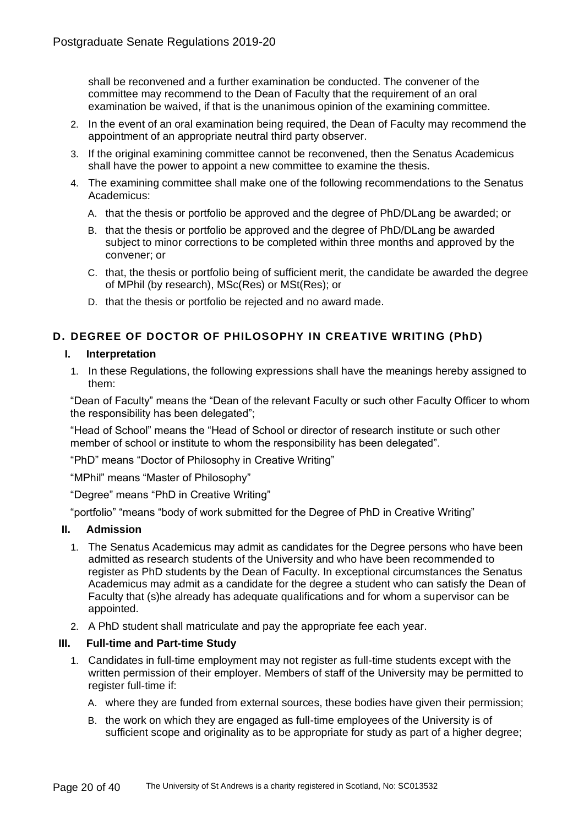shall be reconvened and a further examination be conducted. The convener of the committee may recommend to the Dean of Faculty that the requirement of an oral examination be waived, if that is the unanimous opinion of the examining committee.

- 2. In the event of an oral examination being required, the Dean of Faculty may recommend the appointment of an appropriate neutral third party observer.
- 3. If the original examining committee cannot be reconvened, then the Senatus Academicus shall have the power to appoint a new committee to examine the thesis.
- 4. The examining committee shall make one of the following recommendations to the Senatus Academicus:
	- A. that the thesis or portfolio be approved and the degree of PhD/DLang be awarded; or
	- B. that the thesis or portfolio be approved and the degree of PhD/DLang be awarded subject to minor corrections to be completed within three months and approved by the convener; or
	- C. that, the thesis or portfolio being of sufficient merit, the candidate be awarded the degree of MPhil (by research), MSc(Res) or MSt(Res); or
	- D. that the thesis or portfolio be rejected and no award made.

# **D. DEGREE OF DOCTOR OF PHILOSOPHY IN CREATIVE WRITING (PhD)**

# **I. Interpretation**

1. In these Regulations, the following expressions shall have the meanings hereby assigned to them:

"Dean of Faculty" means the "Dean of the relevant Faculty or such other Faculty Officer to whom the responsibility has been delegated";

"Head of School" means the "Head of School or director of research institute or such other member of school or institute to whom the responsibility has been delegated".

"PhD" means "Doctor of Philosophy in Creative Writing"

"MPhil" means "Master of Philosophy"

"Degree" means "PhD in Creative Writing"

"portfolio" "means "body of work submitted for the Degree of PhD in Creative Writing"

# **II. Admission**

- 1. The Senatus Academicus may admit as candidates for the Degree persons who have been admitted as research students of the University and who have been recommended to register as PhD students by the Dean of Faculty. In exceptional circumstances the Senatus Academicus may admit as a candidate for the degree a student who can satisfy the Dean of Faculty that (s)he already has adequate qualifications and for whom a supervisor can be appointed.
- 2. A PhD student shall matriculate and pay the appropriate fee each year.

# **III. Full-time and Part-time Study**

- 1. Candidates in full-time employment may not register as full-time students except with the written permission of their employer. Members of staff of the University may be permitted to register full-time if:
	- A. where they are funded from external sources, these bodies have given their permission;
	- B. the work on which they are engaged as full-time employees of the University is of sufficient scope and originality as to be appropriate for study as part of a higher degree;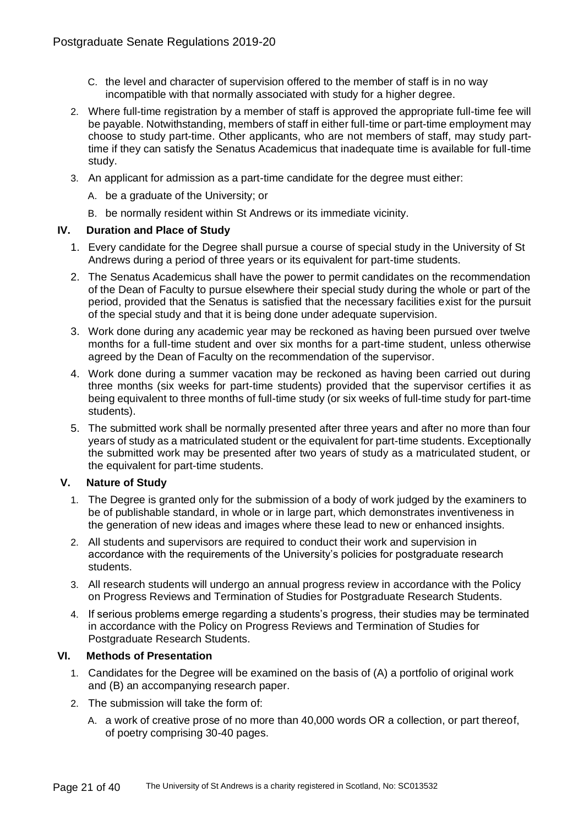- C. the level and character of supervision offered to the member of staff is in no way incompatible with that normally associated with study for a higher degree.
- 2. Where full-time registration by a member of staff is approved the appropriate full-time fee will be payable. Notwithstanding, members of staff in either full-time or part-time employment may choose to study part-time. Other applicants, who are not members of staff, may study parttime if they can satisfy the Senatus Academicus that inadequate time is available for full-time study.
- 3. An applicant for admission as a part-time candidate for the degree must either:
	- A. be a graduate of the University; or
	- B. be normally resident within St Andrews or its immediate vicinity.

# **IV. Duration and Place of Study**

- 1. Every candidate for the Degree shall pursue a course of special study in the University of St Andrews during a period of three years or its equivalent for part-time students.
- 2. The Senatus Academicus shall have the power to permit candidates on the recommendation of the Dean of Faculty to pursue elsewhere their special study during the whole or part of the period, provided that the Senatus is satisfied that the necessary facilities exist for the pursuit of the special study and that it is being done under adequate supervision.
- 3. Work done during any academic year may be reckoned as having been pursued over twelve months for a full-time student and over six months for a part-time student, unless otherwise agreed by the Dean of Faculty on the recommendation of the supervisor.
- 4. Work done during a summer vacation may be reckoned as having been carried out during three months (six weeks for part-time students) provided that the supervisor certifies it as being equivalent to three months of full-time study (or six weeks of full-time study for part-time students).
- 5. The submitted work shall be normally presented after three years and after no more than four years of study as a matriculated student or the equivalent for part-time students. Exceptionally the submitted work may be presented after two years of study as a matriculated student, or the equivalent for part-time students.

# **V. Nature of Study**

- 1. The Degree is granted only for the submission of a body of work judged by the examiners to be of publishable standard, in whole or in large part, which demonstrates inventiveness in the generation of new ideas and images where these lead to new or enhanced insights.
- 2. All students and supervisors are required to conduct their work and supervision in accordance with the requirements of the University's policies for postgraduate research students.
- 3. All research students will undergo an annual progress review in accordance with the Policy on Progress Reviews and Termination of Studies for Postgraduate Research Students.
- 4. If serious problems emerge regarding a students's progress, their studies may be terminated in accordance with the Policy on Progress Reviews and Termination of Studies for Postgraduate Research Students.

# **VI. Methods of Presentation**

- 1. Candidates for the Degree will be examined on the basis of (A) a portfolio of original work and (B) an accompanying research paper.
- 2. The submission will take the form of:
	- A. a work of creative prose of no more than 40,000 words OR a collection, or part thereof, of poetry comprising 30-40 pages.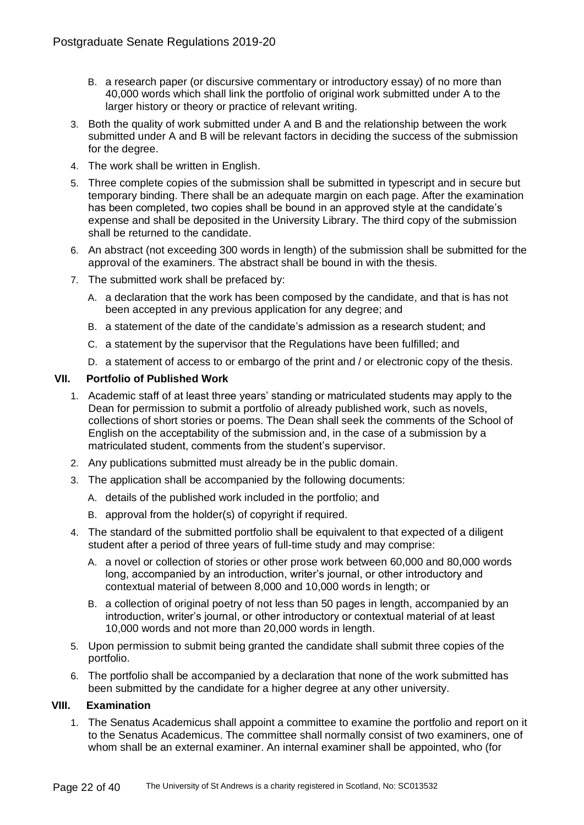- B. a research paper (or discursive commentary or introductory essay) of no more than 40,000 words which shall link the portfolio of original work submitted under A to the larger history or theory or practice of relevant writing.
- 3. Both the quality of work submitted under A and B and the relationship between the work submitted under A and B will be relevant factors in deciding the success of the submission for the degree.
- 4. The work shall be written in English.
- 5. Three complete copies of the submission shall be submitted in typescript and in secure but temporary binding. There shall be an adequate margin on each page. After the examination has been completed, two copies shall be bound in an approved style at the candidate's expense and shall be deposited in the University Library. The third copy of the submission shall be returned to the candidate.
- 6. An abstract (not exceeding 300 words in length) of the submission shall be submitted for the approval of the examiners. The abstract shall be bound in with the thesis.
- 7. The submitted work shall be prefaced by:
	- A. a declaration that the work has been composed by the candidate, and that is has not been accepted in any previous application for any degree; and
	- B. a statement of the date of the candidate's admission as a research student; and
	- C. a statement by the supervisor that the Regulations have been fulfilled; and
	- D. a statement of access to or embargo of the print and / or electronic copy of the thesis.

# **VII. Portfolio of Published Work**

- 1. Academic staff of at least three years' standing or matriculated students may apply to the Dean for permission to submit a portfolio of already published work, such as novels, collections of short stories or poems. The Dean shall seek the comments of the School of English on the acceptability of the submission and, in the case of a submission by a matriculated student, comments from the student's supervisor.
- 2. Any publications submitted must already be in the public domain.
- 3. The application shall be accompanied by the following documents:
	- A. details of the published work included in the portfolio; and
	- B. approval from the holder(s) of copyright if required.
- 4. The standard of the submitted portfolio shall be equivalent to that expected of a diligent student after a period of three years of full-time study and may comprise:
	- A. a novel or collection of stories or other prose work between 60,000 and 80,000 words long, accompanied by an introduction, writer's journal, or other introductory and contextual material of between 8,000 and 10,000 words in length; or
	- B. a collection of original poetry of not less than 50 pages in length, accompanied by an introduction, writer's journal, or other introductory or contextual material of at least 10,000 words and not more than 20,000 words in length.
- 5. Upon permission to submit being granted the candidate shall submit three copies of the portfolio.
- 6. The portfolio shall be accompanied by a declaration that none of the work submitted has been submitted by the candidate for a higher degree at any other university.

# **VIII. Examination**

1. The Senatus Academicus shall appoint a committee to examine the portfolio and report on it to the Senatus Academicus. The committee shall normally consist of two examiners, one of whom shall be an external examiner. An internal examiner shall be appointed, who (for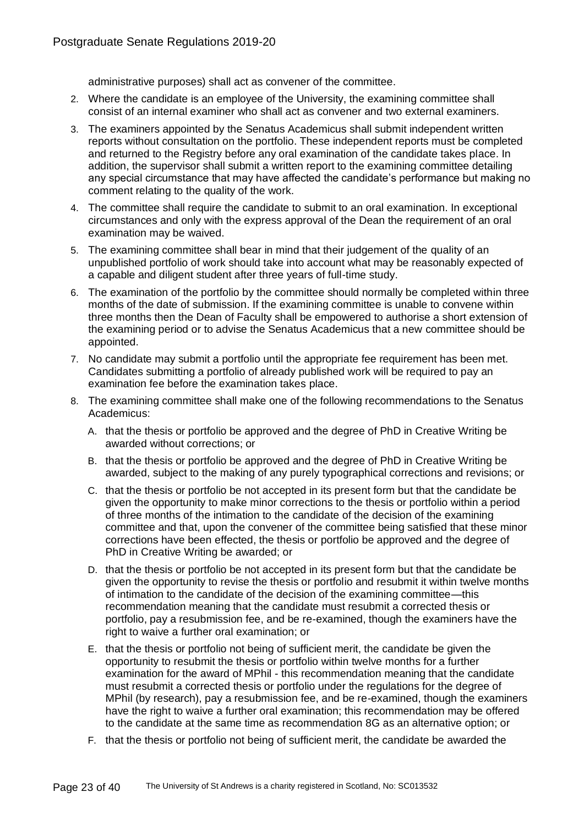administrative purposes) shall act as convener of the committee.

- 2. Where the candidate is an employee of the University, the examining committee shall consist of an internal examiner who shall act as convener and two external examiners.
- 3. The examiners appointed by the Senatus Academicus shall submit independent written reports without consultation on the portfolio. These independent reports must be completed and returned to the Registry before any oral examination of the candidate takes place. In addition, the supervisor shall submit a written report to the examining committee detailing any special circumstance that may have affected the candidate's performance but making no comment relating to the quality of the work.
- 4. The committee shall require the candidate to submit to an oral examination. In exceptional circumstances and only with the express approval of the Dean the requirement of an oral examination may be waived.
- 5. The examining committee shall bear in mind that their judgement of the quality of an unpublished portfolio of work should take into account what may be reasonably expected of a capable and diligent student after three years of full-time study.
- 6. The examination of the portfolio by the committee should normally be completed within three months of the date of submission. If the examining committee is unable to convene within three months then the Dean of Faculty shall be empowered to authorise a short extension of the examining period or to advise the Senatus Academicus that a new committee should be appointed.
- 7. No candidate may submit a portfolio until the appropriate fee requirement has been met. Candidates submitting a portfolio of already published work will be required to pay an examination fee before the examination takes place.
- 8. The examining committee shall make one of the following recommendations to the Senatus Academicus:
	- A. that the thesis or portfolio be approved and the degree of PhD in Creative Writing be awarded without corrections; or
	- B. that the thesis or portfolio be approved and the degree of PhD in Creative Writing be awarded, subject to the making of any purely typographical corrections and revisions; or
	- C. that the thesis or portfolio be not accepted in its present form but that the candidate be given the opportunity to make minor corrections to the thesis or portfolio within a period of three months of the intimation to the candidate of the decision of the examining committee and that, upon the convener of the committee being satisfied that these minor corrections have been effected, the thesis or portfolio be approved and the degree of PhD in Creative Writing be awarded; or
	- D. that the thesis or portfolio be not accepted in its present form but that the candidate be given the opportunity to revise the thesis or portfolio and resubmit it within twelve months of intimation to the candidate of the decision of the examining committee—this recommendation meaning that the candidate must resubmit a corrected thesis or portfolio, pay a resubmission fee, and be re-examined, though the examiners have the right to waive a further oral examination; or
	- E. that the thesis or portfolio not being of sufficient merit, the candidate be given the opportunity to resubmit the thesis or portfolio within twelve months for a further examination for the award of MPhil - this recommendation meaning that the candidate must resubmit a corrected thesis or portfolio under the regulations for the degree of MPhil (by research), pay a resubmission fee, and be re-examined, though the examiners have the right to waive a further oral examination; this recommendation may be offered to the candidate at the same time as recommendation 8G as an alternative option; or
	- F. that the thesis or portfolio not being of sufficient merit, the candidate be awarded the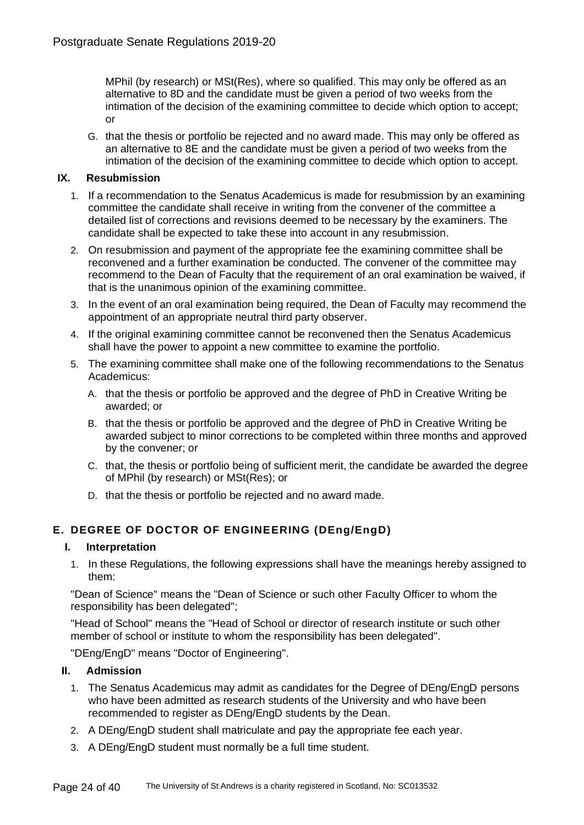MPhil (by research) or MSt(Res), where so qualified. This may only be offered as an alternative to 8D and the candidate must be given a period of two weeks from the intimation of the decision of the examining committee to decide which option to accept; or

G. that the thesis or portfolio be rejected and no award made. This may only be offered as an alternative to 8E and the candidate must be given a period of two weeks from the intimation of the decision of the examining committee to decide which option to accept.

# **IX. Resubmission**

- 1. If a recommendation to the Senatus Academicus is made for resubmission by an examining committee the candidate shall receive in writing from the convener of the committee a detailed list of corrections and revisions deemed to be necessary by the examiners. The candidate shall be expected to take these into account in any resubmission.
- 2. On resubmission and payment of the appropriate fee the examining committee shall be reconvened and a further examination be conducted. The convener of the committee may recommend to the Dean of Faculty that the requirement of an oral examination be waived, if that is the unanimous opinion of the examining committee.
- 3. In the event of an oral examination being required, the Dean of Faculty may recommend the appointment of an appropriate neutral third party observer.
- 4. If the original examining committee cannot be reconvened then the Senatus Academicus shall have the power to appoint a new committee to examine the portfolio.
- 5. The examining committee shall make one of the following recommendations to the Senatus Academicus:
	- A. that the thesis or portfolio be approved and the degree of PhD in Creative Writing be awarded; or
	- B. that the thesis or portfolio be approved and the degree of PhD in Creative Writing be awarded subject to minor corrections to be completed within three months and approved by the convener; or
	- C. that, the thesis or portfolio being of sufficient merit, the candidate be awarded the degree of MPhil (by research) or MSt(Res); or
	- D. that the thesis or portfolio be rejected and no award made.

# **E. DEGREE OF DOCTOR OF ENGINEERING (DEng/EngD)**

# **I. Interpretation**

1. In these Regulations, the following expressions shall have the meanings hereby assigned to them:

"Dean of Science" means the "Dean of Science or such other Faculty Officer to whom the responsibility has been delegated";

"Head of School" means the "Head of School or director of research institute or such other member of school or institute to whom the responsibility has been delegated".

"DEng/EngD" means "Doctor of Engineering".

# **II. Admission**

- 1. The Senatus Academicus may admit as candidates for the Degree of DEng/EngD persons who have been admitted as research students of the University and who have been recommended to register as DEng/EngD students by the Dean.
- 2. A DEng/EngD student shall matriculate and pay the appropriate fee each year.
- 3. A DEng/EngD student must normally be a full time student.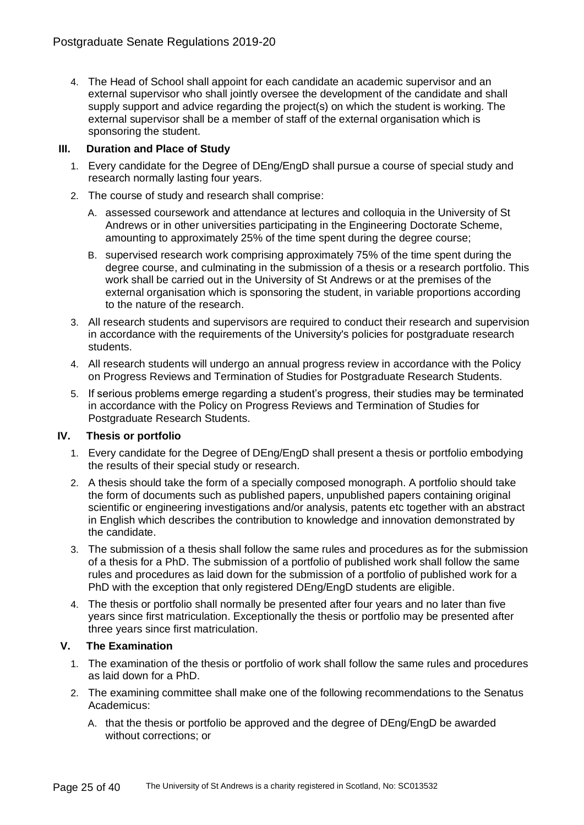4. The Head of School shall appoint for each candidate an academic supervisor and an external supervisor who shall jointly oversee the development of the candidate and shall supply support and advice regarding the project(s) on which the student is working. The external supervisor shall be a member of staff of the external organisation which is sponsoring the student.

# **III. Duration and Place of Study**

- 1. Every candidate for the Degree of DEng/EngD shall pursue a course of special study and research normally lasting four years.
- 2. The course of study and research shall comprise:
	- A. assessed coursework and attendance at lectures and colloquia in the University of St Andrews or in other universities participating in the Engineering Doctorate Scheme, amounting to approximately 25% of the time spent during the degree course;
	- B. supervised research work comprising approximately 75% of the time spent during the degree course, and culminating in the submission of a thesis or a research portfolio. This work shall be carried out in the University of St Andrews or at the premises of the external organisation which is sponsoring the student, in variable proportions according to the nature of the research.
- 3. All research students and supervisors are required to conduct their research and supervision in accordance with the requirements of the University's policies for postgraduate research students.
- 4. All research students will undergo an annual progress review in accordance with the Policy on Progress Reviews and Termination of Studies for Postgraduate Research Students.
- 5. If serious problems emerge regarding a student's progress, their studies may be terminated in accordance with the Policy on Progress Reviews and Termination of Studies for Postgraduate Research Students.

# **IV. Thesis or portfolio**

- 1. Every candidate for the Degree of DEng/EngD shall present a thesis or portfolio embodying the results of their special study or research.
- 2. A thesis should take the form of a specially composed monograph. A portfolio should take the form of documents such as published papers, unpublished papers containing original scientific or engineering investigations and/or analysis, patents etc together with an abstract in English which describes the contribution to knowledge and innovation demonstrated by the candidate.
- 3. The submission of a thesis shall follow the same rules and procedures as for the submission of a thesis for a PhD. The submission of a portfolio of published work shall follow the same rules and procedures as laid down for the submission of a portfolio of published work for a PhD with the exception that only registered DEng/EngD students are eligible.
- 4. The thesis or portfolio shall normally be presented after four years and no later than five years since first matriculation. Exceptionally the thesis or portfolio may be presented after three years since first matriculation.

# **V. The Examination**

- 1. The examination of the thesis or portfolio of work shall follow the same rules and procedures as laid down for a PhD.
- 2. The examining committee shall make one of the following recommendations to the Senatus Academicus:
	- A. that the thesis or portfolio be approved and the degree of DEng/EngD be awarded without corrections; or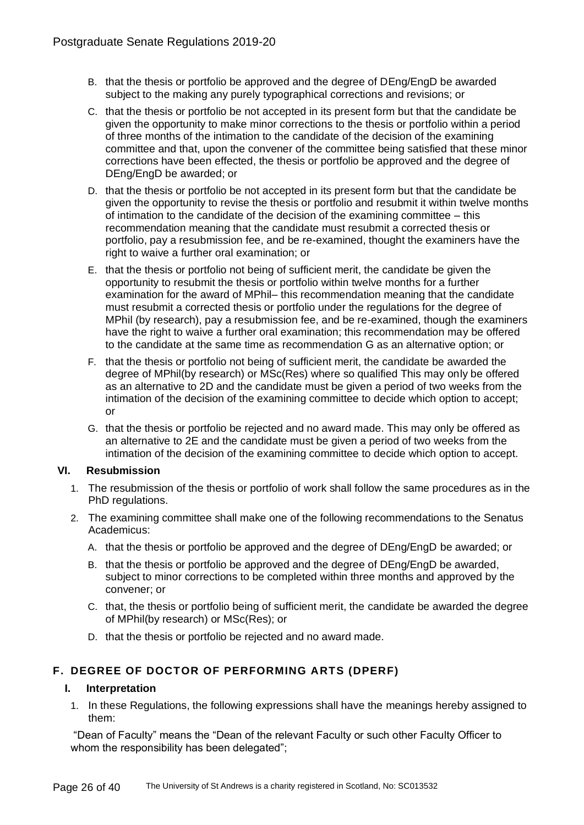- B. that the thesis or portfolio be approved and the degree of DEng/EngD be awarded subject to the making any purely typographical corrections and revisions; or
- C. that the thesis or portfolio be not accepted in its present form but that the candidate be given the opportunity to make minor corrections to the thesis or portfolio within a period of three months of the intimation to the candidate of the decision of the examining committee and that, upon the convener of the committee being satisfied that these minor corrections have been effected, the thesis or portfolio be approved and the degree of DEng/EngD be awarded; or
- D. that the thesis or portfolio be not accepted in its present form but that the candidate be given the opportunity to revise the thesis or portfolio and resubmit it within twelve months of intimation to the candidate of the decision of the examining committee – this recommendation meaning that the candidate must resubmit a corrected thesis or portfolio, pay a resubmission fee, and be re-examined, thought the examiners have the right to waive a further oral examination; or
- E. that the thesis or portfolio not being of sufficient merit, the candidate be given the opportunity to resubmit the thesis or portfolio within twelve months for a further examination for the award of MPhil– this recommendation meaning that the candidate must resubmit a corrected thesis or portfolio under the regulations for the degree of MPhil (by research), pay a resubmission fee, and be re-examined, though the examiners have the right to waive a further oral examination; this recommendation may be offered to the candidate at the same time as recommendation G as an alternative option; or
- F. that the thesis or portfolio not being of sufficient merit, the candidate be awarded the degree of MPhil(by research) or MSc(Res) where so qualified This may only be offered as an alternative to 2D and the candidate must be given a period of two weeks from the intimation of the decision of the examining committee to decide which option to accept; or
- G. that the thesis or portfolio be rejected and no award made. This may only be offered as an alternative to 2E and the candidate must be given a period of two weeks from the intimation of the decision of the examining committee to decide which option to accept.

# **VI. Resubmission**

- 1. The resubmission of the thesis or portfolio of work shall follow the same procedures as in the PhD regulations.
- 2. The examining committee shall make one of the following recommendations to the Senatus Academicus:
	- A. that the thesis or portfolio be approved and the degree of DEng/EngD be awarded; or
	- B. that the thesis or portfolio be approved and the degree of DEng/EngD be awarded, subject to minor corrections to be completed within three months and approved by the convener; or
	- C. that, the thesis or portfolio being of sufficient merit, the candidate be awarded the degree of MPhil(by research) or MSc(Res); or
	- D. that the thesis or portfolio be rejected and no award made.

# **F. DEGREE OF DOCTOR OF PERFORMING ARTS (DPERF)**

# **I. Interpretation**

1. In these Regulations, the following expressions shall have the meanings hereby assigned to them:

"Dean of Faculty" means the "Dean of the relevant Faculty or such other Faculty Officer to whom the responsibility has been delegated";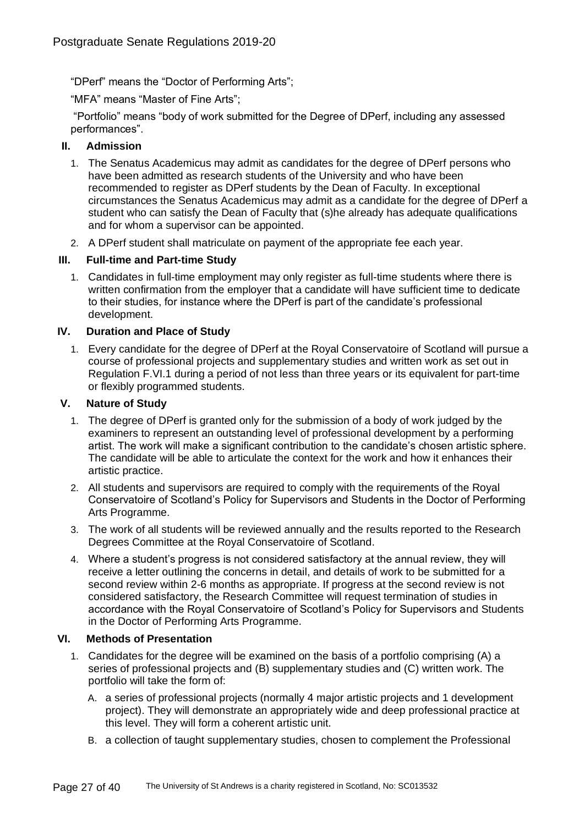"DPerf" means the "Doctor of Performing Arts";

"MFA" means "Master of Fine Arts";

"Portfolio" means "body of work submitted for the Degree of DPerf, including any assessed performances".

# **II. Admission**

- 1. The Senatus Academicus may admit as candidates for the degree of DPerf persons who have been admitted as research students of the University and who have been recommended to register as DPerf students by the Dean of Faculty. In exceptional circumstances the Senatus Academicus may admit as a candidate for the degree of DPerf a student who can satisfy the Dean of Faculty that (s)he already has adequate qualifications and for whom a supervisor can be appointed.
- 2. A DPerf student shall matriculate on payment of the appropriate fee each year.

# **III. Full-time and Part-time Study**

1. Candidates in full-time employment may only register as full-time students where there is written confirmation from the employer that a candidate will have sufficient time to dedicate to their studies, for instance where the DPerf is part of the candidate's professional development.

# **IV. Duration and Place of Study**

1. Every candidate for the degree of DPerf at the Royal Conservatoire of Scotland will pursue a course of professional projects and supplementary studies and written work as set out in Regulation F.VI.1 during a period of not less than three years or its equivalent for part-time or flexibly programmed students.

# **V. Nature of Study**

- 1. The degree of DPerf is granted only for the submission of a body of work judged by the examiners to represent an outstanding level of professional development by a performing artist. The work will make a significant contribution to the candidate's chosen artistic sphere. The candidate will be able to articulate the context for the work and how it enhances their artistic practice.
- 2. All students and supervisors are required to comply with the requirements of the Royal Conservatoire of Scotland's Policy for Supervisors and Students in the Doctor of Performing Arts Programme.
- 3. The work of all students will be reviewed annually and the results reported to the Research Degrees Committee at the Royal Conservatoire of Scotland.
- 4. Where a student's progress is not considered satisfactory at the annual review, they will receive a letter outlining the concerns in detail, and details of work to be submitted for a second review within 2-6 months as appropriate. If progress at the second review is not considered satisfactory, the Research Committee will request termination of studies in accordance with the Royal Conservatoire of Scotland's Policy for Supervisors and Students in the Doctor of Performing Arts Programme.

# **VI. Methods of Presentation**

- 1. Candidates for the degree will be examined on the basis of a portfolio comprising (A) a series of professional projects and (B) supplementary studies and (C) written work. The portfolio will take the form of:
	- A. a series of professional projects (normally 4 major artistic projects and 1 development project). They will demonstrate an appropriately wide and deep professional practice at this level. They will form a coherent artistic unit.
	- B. a collection of taught supplementary studies, chosen to complement the Professional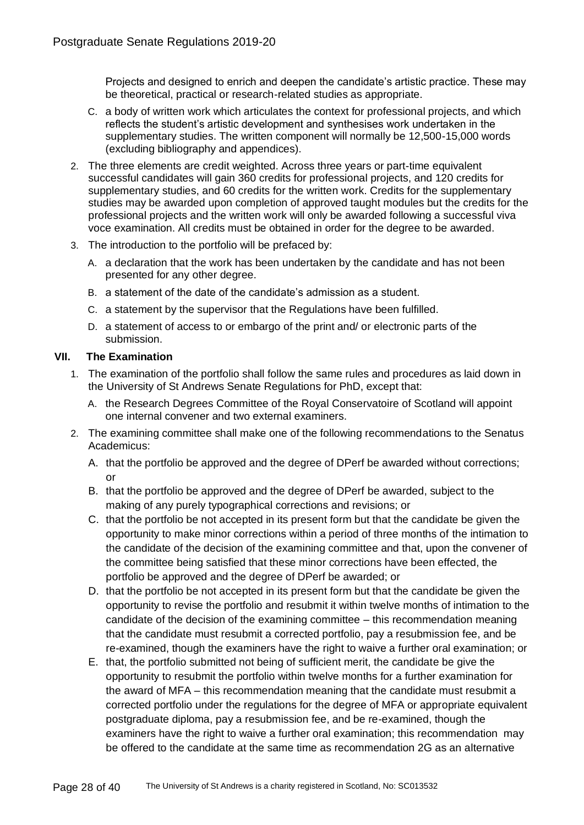Projects and designed to enrich and deepen the candidate's artistic practice. These may be theoretical, practical or research-related studies as appropriate.

- C. a body of written work which articulates the context for professional projects, and which reflects the student's artistic development and synthesises work undertaken in the supplementary studies. The written component will normally be 12,500-15,000 words (excluding bibliography and appendices).
- 2. The three elements are credit weighted. Across three years or part-time equivalent successful candidates will gain 360 credits for professional projects, and 120 credits for supplementary studies, and 60 credits for the written work. Credits for the supplementary studies may be awarded upon completion of approved taught modules but the credits for the professional projects and the written work will only be awarded following a successful viva voce examination. All credits must be obtained in order for the degree to be awarded.
- 3. The introduction to the portfolio will be prefaced by:
	- A. a declaration that the work has been undertaken by the candidate and has not been presented for any other degree.
	- B. a statement of the date of the candidate's admission as a student.
	- C. a statement by the supervisor that the Regulations have been fulfilled.
	- D. a statement of access to or embargo of the print and/ or electronic parts of the submission.

# **VII. The Examination**

- 1. The examination of the portfolio shall follow the same rules and procedures as laid down in the University of St Andrews Senate Regulations for PhD, except that:
	- A. the Research Degrees Committee of the Royal Conservatoire of Scotland will appoint one internal convener and two external examiners.
- 2. The examining committee shall make one of the following recommendations to the Senatus Academicus:
	- A. that the portfolio be approved and the degree of DPerf be awarded without corrections;  $\alpha$ r
	- B. that the portfolio be approved and the degree of DPerf be awarded, subject to the making of any purely typographical corrections and revisions; or
	- C. that the portfolio be not accepted in its present form but that the candidate be given the opportunity to make minor corrections within a period of three months of the intimation to the candidate of the decision of the examining committee and that, upon the convener of the committee being satisfied that these minor corrections have been effected, the portfolio be approved and the degree of DPerf be awarded; or
	- D. that the portfolio be not accepted in its present form but that the candidate be given the opportunity to revise the portfolio and resubmit it within twelve months of intimation to the candidate of the decision of the examining committee – this recommendation meaning that the candidate must resubmit a corrected portfolio, pay a resubmission fee, and be re-examined, though the examiners have the right to waive a further oral examination; or
	- E. that, the portfolio submitted not being of sufficient merit, the candidate be give the opportunity to resubmit the portfolio within twelve months for a further examination for the award of MFA – this recommendation meaning that the candidate must resubmit a corrected portfolio under the regulations for the degree of MFA or appropriate equivalent postgraduate diploma, pay a resubmission fee, and be re-examined, though the examiners have the right to waive a further oral examination; this recommendation may be offered to the candidate at the same time as recommendation 2G as an alternative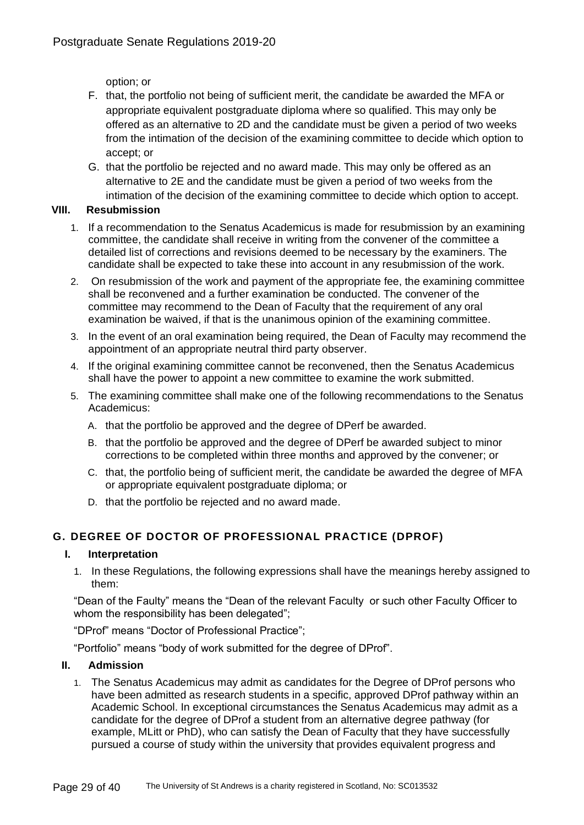option; or

- F. that, the portfolio not being of sufficient merit, the candidate be awarded the MFA or appropriate equivalent postgraduate diploma where so qualified. This may only be offered as an alternative to 2D and the candidate must be given a period of two weeks from the intimation of the decision of the examining committee to decide which option to accept; or
- G. that the portfolio be rejected and no award made. This may only be offered as an alternative to 2E and the candidate must be given a period of two weeks from the intimation of the decision of the examining committee to decide which option to accept.

# **VIII. Resubmission**

- 1. If a recommendation to the Senatus Academicus is made for resubmission by an examining committee, the candidate shall receive in writing from the convener of the committee a detailed list of corrections and revisions deemed to be necessary by the examiners. The candidate shall be expected to take these into account in any resubmission of the work.
- 2. On resubmission of the work and payment of the appropriate fee, the examining committee shall be reconvened and a further examination be conducted. The convener of the committee may recommend to the Dean of Faculty that the requirement of any oral examination be waived, if that is the unanimous opinion of the examining committee.
- 3. In the event of an oral examination being required, the Dean of Faculty may recommend the appointment of an appropriate neutral third party observer.
- 4. If the original examining committee cannot be reconvened, then the Senatus Academicus shall have the power to appoint a new committee to examine the work submitted.
- 5. The examining committee shall make one of the following recommendations to the Senatus Academicus:
	- A. that the portfolio be approved and the degree of DPerf be awarded.
	- B. that the portfolio be approved and the degree of DPerf be awarded subject to minor corrections to be completed within three months and approved by the convener; or
	- C. that, the portfolio being of sufficient merit, the candidate be awarded the degree of MFA or appropriate equivalent postgraduate diploma; or
	- D. that the portfolio be rejected and no award made.

# **G. DEGREE OF DOCTOR OF PROFESSIONAL PRACTICE (DPROF)**

# **I. Interpretation**

1. In these Regulations, the following expressions shall have the meanings hereby assigned to them:

"Dean of the Faulty" means the "Dean of the relevant Faculty or such other Faculty Officer to whom the responsibility has been delegated";

"DProf" means "Doctor of Professional Practice";

"Portfolio" means "body of work submitted for the degree of DProf".

# **II. Admission**

1. The Senatus Academicus may admit as candidates for the Degree of DProf persons who have been admitted as research students in a specific, approved DProf pathway within an Academic School. In exceptional circumstances the Senatus Academicus may admit as a candidate for the degree of DProf a student from an alternative degree pathway (for example, MLitt or PhD), who can satisfy the Dean of Faculty that they have successfully pursued a course of study within the university that provides equivalent progress and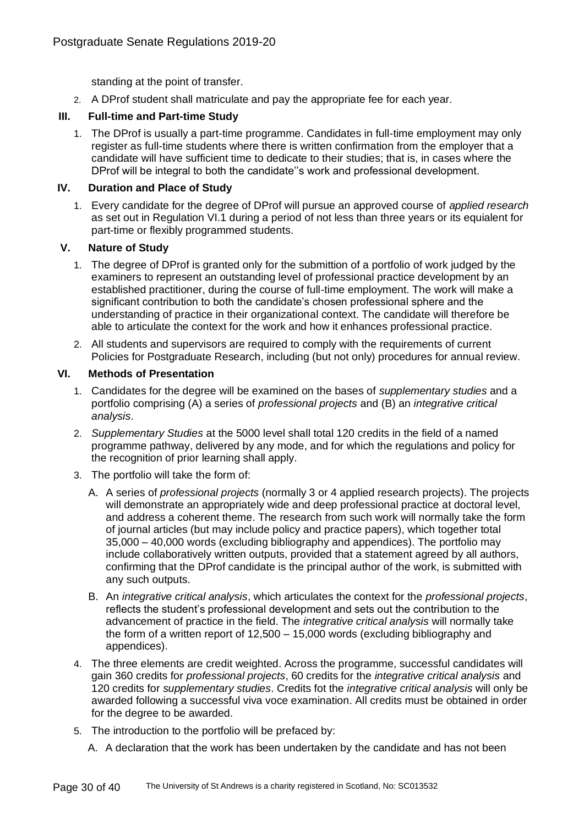standing at the point of transfer.

2. A DProf student shall matriculate and pay the appropriate fee for each year.

# **III. Full-time and Part-time Study**

1. The DProf is usually a part-time programme. Candidates in full-time employment may only register as full-time students where there is written confirmation from the employer that a candidate will have sufficient time to dedicate to their studies; that is, in cases where the DProf will be integral to both the candidate''s work and professional development.

# **IV. Duration and Place of Study**

1. Every candidate for the degree of DProf will pursue an approved course of *applied research* as set out in Regulation VI.1 during a period of not less than three years or its equialent for part-time or flexibly programmed students.

# **V. Nature of Study**

- 1. The degree of DProf is granted only for the submittion of a portfolio of work judged by the examiners to represent an outstanding level of professional practice development by an established practitioner, during the course of full-time employment. The work will make a significant contribution to both the candidate's chosen professional sphere and the understanding of practice in their organizational context. The candidate will therefore be able to articulate the context for the work and how it enhances professional practice.
- 2. All students and supervisors are required to comply with the requirements of current Policies for Postgraduate Research, including (but not only) procedures for annual review.

# **VI. Methods of Presentation**

- 1. Candidates for the degree will be examined on the bases of *supplementary studies* and a portfolio comprising (A) a series of *professional projects* and (B) an *integrative critical analysis*.
- 2. *Supplementary Studies* at the 5000 level shall total 120 credits in the field of a named programme pathway, delivered by any mode, and for which the regulations and policy for the recognition of prior learning shall apply.
- 3. The portfolio will take the form of:
	- A. A series of *professional projects* (normally 3 or 4 applied research projects). The projects will demonstrate an appropriately wide and deep professional practice at doctoral level, and address a coherent theme. The research from such work will normally take the form of journal articles (but may include policy and practice papers), which together total 35,000 – 40,000 words (excluding bibliography and appendices). The portfolio may include collaboratively written outputs, provided that a statement agreed by all authors, confirming that the DProf candidate is the principal author of the work, is submitted with any such outputs.
	- B. An *integrative critical analysis*, which articulates the context for the *professional projects*, reflects the student's professional development and sets out the contribution to the advancement of practice in the field. The *integrative critical analysis* will normally take the form of a written report of 12,500 – 15,000 words (excluding bibliography and appendices).
- 4. The three elements are credit weighted. Across the programme, successful candidates will gain 360 credits for *professional projects*, 60 credits for the *integrative critical analysis* and 120 credits for *supplementary studies*. Credits fot the *integrative critical analysis* will only be awarded following a successful viva voce examination. All credits must be obtained in order for the degree to be awarded.
- 5. The introduction to the portfolio will be prefaced by:
	- A. A declaration that the work has been undertaken by the candidate and has not been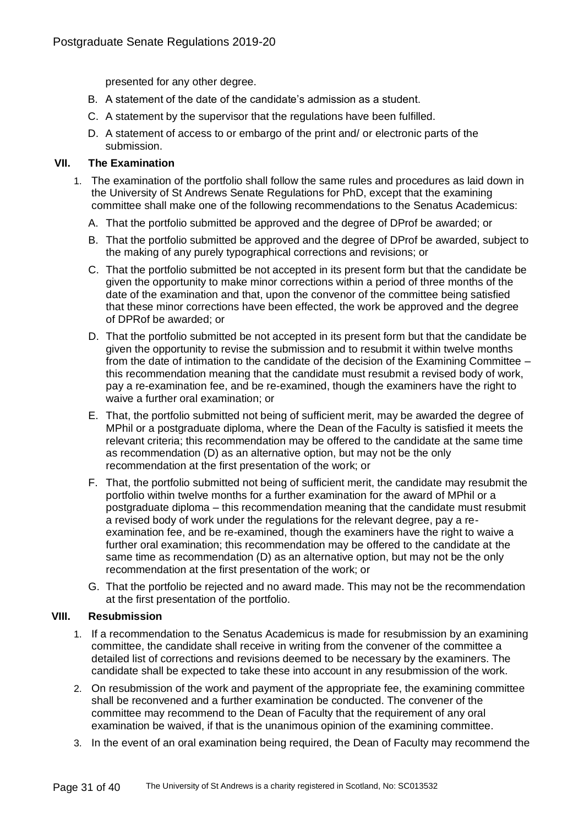presented for any other degree.

- B. A statement of the date of the candidate's admission as a student.
- C. A statement by the supervisor that the regulations have been fulfilled.
- D. A statement of access to or embargo of the print and/ or electronic parts of the submission.

#### **VII. The Examination**

- 1. The examination of the portfolio shall follow the same rules and procedures as laid down in the University of St Andrews Senate Regulations for PhD, except that the examining committee shall make one of the following recommendations to the Senatus Academicus:
	- A. That the portfolio submitted be approved and the degree of DProf be awarded; or
	- B. That the portfolio submitted be approved and the degree of DProf be awarded, subject to the making of any purely typographical corrections and revisions; or
	- C. That the portfolio submitted be not accepted in its present form but that the candidate be given the opportunity to make minor corrections within a period of three months of the date of the examination and that, upon the convenor of the committee being satisfied that these minor corrections have been effected, the work be approved and the degree of DPRof be awarded; or
	- D. That the portfolio submitted be not accepted in its present form but that the candidate be given the opportunity to revise the submission and to resubmit it within twelve months from the date of intimation to the candidate of the decision of the Examining Committee – this recommendation meaning that the candidate must resubmit a revised body of work, pay a re-examination fee, and be re-examined, though the examiners have the right to waive a further oral examination; or
	- E. That, the portfolio submitted not being of sufficient merit, may be awarded the degree of MPhil or a postgraduate diploma, where the Dean of the Faculty is satisfied it meets the relevant criteria; this recommendation may be offered to the candidate at the same time as recommendation (D) as an alternative option, but may not be the only recommendation at the first presentation of the work; or
	- F. That, the portfolio submitted not being of sufficient merit, the candidate may resubmit the portfolio within twelve months for a further examination for the award of MPhil or a postgraduate diploma – this recommendation meaning that the candidate must resubmit a revised body of work under the regulations for the relevant degree, pay a reexamination fee, and be re-examined, though the examiners have the right to waive a further oral examination; this recommendation may be offered to the candidate at the same time as recommendation (D) as an alternative option, but may not be the only recommendation at the first presentation of the work; or
	- G. That the portfolio be rejected and no award made. This may not be the recommendation at the first presentation of the portfolio.

# **VIII. Resubmission**

- 1. If a recommendation to the Senatus Academicus is made for resubmission by an examining committee, the candidate shall receive in writing from the convener of the committee a detailed list of corrections and revisions deemed to be necessary by the examiners. The candidate shall be expected to take these into account in any resubmission of the work.
- 2. On resubmission of the work and payment of the appropriate fee, the examining committee shall be reconvened and a further examination be conducted. The convener of the committee may recommend to the Dean of Faculty that the requirement of any oral examination be waived, if that is the unanimous opinion of the examining committee.
- 3. In the event of an oral examination being required, the Dean of Faculty may recommend the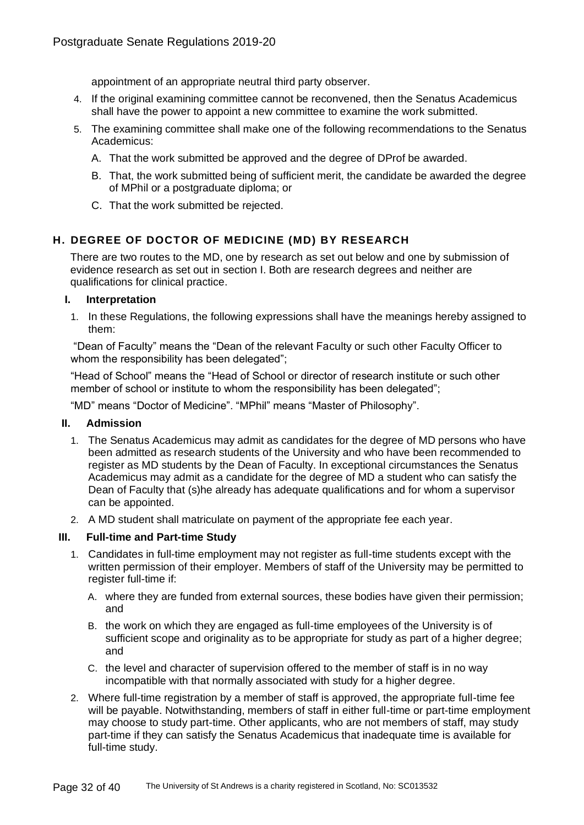appointment of an appropriate neutral third party observer.

- 4. If the original examining committee cannot be reconvened, then the Senatus Academicus shall have the power to appoint a new committee to examine the work submitted.
- 5. The examining committee shall make one of the following recommendations to the Senatus Academicus:
	- A. That the work submitted be approved and the degree of DProf be awarded.
	- B. That, the work submitted being of sufficient merit, the candidate be awarded the degree of MPhil or a postgraduate diploma; or
	- C. That the work submitted be rejected.

# **H. DEGREE OF DOCTOR OF MEDICINE (MD) BY RESEARCH**

There are two routes to the MD, one by research as set out below and one by submission of evidence research as set out in section I. Both are research degrees and neither are qualifications for clinical practice.

#### **I. Interpretation**

1. In these Regulations, the following expressions shall have the meanings hereby assigned to them:

"Dean of Faculty" means the "Dean of the relevant Faculty or such other Faculty Officer to whom the responsibility has been delegated";

"Head of School" means the "Head of School or director of research institute or such other member of school or institute to whom the responsibility has been delegated";

"MD" means "Doctor of Medicine". "MPhil" means "Master of Philosophy".

# **II. Admission**

- 1. The Senatus Academicus may admit as candidates for the degree of MD persons who have been admitted as research students of the University and who have been recommended to register as MD students by the Dean of Faculty. In exceptional circumstances the Senatus Academicus may admit as a candidate for the degree of MD a student who can satisfy the Dean of Faculty that (s)he already has adequate qualifications and for whom a supervisor can be appointed.
- 2. A MD student shall matriculate on payment of the appropriate fee each year.

# **III. Full-time and Part-time Study**

- 1. Candidates in full-time employment may not register as full-time students except with the written permission of their employer. Members of staff of the University may be permitted to register full-time if:
	- A. where they are funded from external sources, these bodies have given their permission; and
	- B. the work on which they are engaged as full-time employees of the University is of sufficient scope and originality as to be appropriate for study as part of a higher degree; and
	- C. the level and character of supervision offered to the member of staff is in no way incompatible with that normally associated with study for a higher degree.
- 2. Where full-time registration by a member of staff is approved, the appropriate full-time fee will be payable. Notwithstanding, members of staff in either full-time or part-time employment may choose to study part-time. Other applicants, who are not members of staff, may study part-time if they can satisfy the Senatus Academicus that inadequate time is available for full-time study.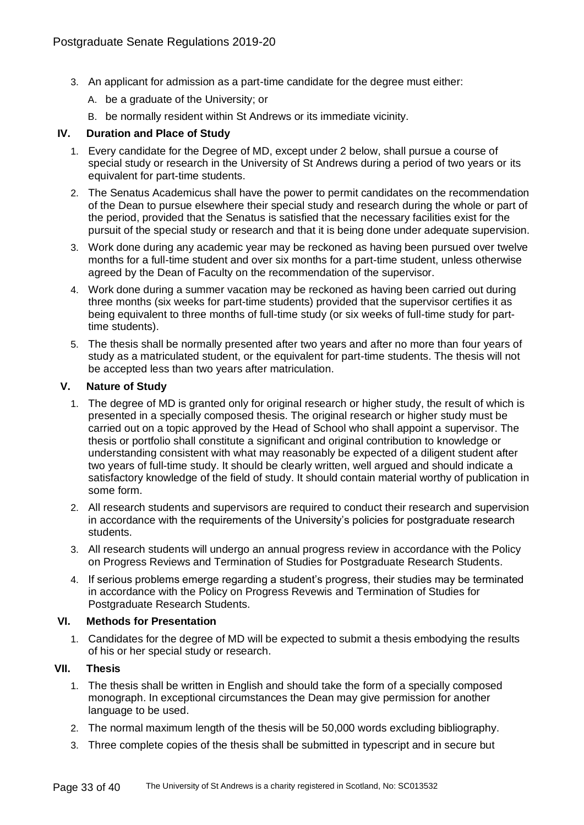- 3. An applicant for admission as a part-time candidate for the degree must either:
	- A. be a graduate of the University; or
	- B. be normally resident within St Andrews or its immediate vicinity.

#### **IV. Duration and Place of Study**

- 1. Every candidate for the Degree of MD, except under 2 below, shall pursue a course of special study or research in the University of St Andrews during a period of two years or its equivalent for part-time students.
- 2. The Senatus Academicus shall have the power to permit candidates on the recommendation of the Dean to pursue elsewhere their special study and research during the whole or part of the period, provided that the Senatus is satisfied that the necessary facilities exist for the pursuit of the special study or research and that it is being done under adequate supervision.
- 3. Work done during any academic year may be reckoned as having been pursued over twelve months for a full-time student and over six months for a part-time student, unless otherwise agreed by the Dean of Faculty on the recommendation of the supervisor.
- 4. Work done during a summer vacation may be reckoned as having been carried out during three months (six weeks for part-time students) provided that the supervisor certifies it as being equivalent to three months of full-time study (or six weeks of full-time study for parttime students).
- 5. The thesis shall be normally presented after two years and after no more than four years of study as a matriculated student, or the equivalent for part-time students. The thesis will not be accepted less than two years after matriculation.

#### **V. Nature of Study**

- 1. The degree of MD is granted only for original research or higher study, the result of which is presented in a specially composed thesis. The original research or higher study must be carried out on a topic approved by the Head of School who shall appoint a supervisor. The thesis or portfolio shall constitute a significant and original contribution to knowledge or understanding consistent with what may reasonably be expected of a diligent student after two years of full-time study. It should be clearly written, well argued and should indicate a satisfactory knowledge of the field of study. It should contain material worthy of publication in some form.
- 2. All research students and supervisors are required to conduct their research and supervision in accordance with the requirements of the University's policies for postgraduate research students.
- 3. All research students will undergo an annual progress review in accordance with the Policy on Progress Reviews and Termination of Studies for Postgraduate Research Students.
- 4. If serious problems emerge regarding a student's progress, their studies may be terminated in accordance with the Policy on Progress Revewis and Termination of Studies for Postgraduate Research Students.

#### **VI. Methods for Presentation**

1. Candidates for the degree of MD will be expected to submit a thesis embodying the results of his or her special study or research.

# **VII. Thesis**

- 1. The thesis shall be written in English and should take the form of a specially composed monograph. In exceptional circumstances the Dean may give permission for another language to be used.
- 2. The normal maximum length of the thesis will be 50,000 words excluding bibliography.
- 3. Three complete copies of the thesis shall be submitted in typescript and in secure but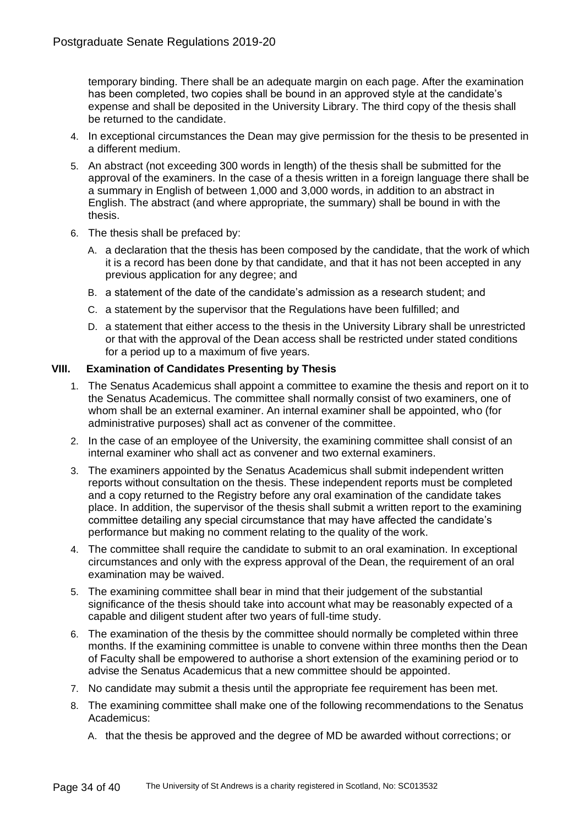temporary binding. There shall be an adequate margin on each page. After the examination has been completed, two copies shall be bound in an approved style at the candidate's expense and shall be deposited in the University Library. The third copy of the thesis shall be returned to the candidate.

- 4. In exceptional circumstances the Dean may give permission for the thesis to be presented in a different medium.
- 5. An abstract (not exceeding 300 words in length) of the thesis shall be submitted for the approval of the examiners. In the case of a thesis written in a foreign language there shall be a summary in English of between 1,000 and 3,000 words, in addition to an abstract in English. The abstract (and where appropriate, the summary) shall be bound in with the thesis.
- 6. The thesis shall be prefaced by:
	- A. a declaration that the thesis has been composed by the candidate, that the work of which it is a record has been done by that candidate, and that it has not been accepted in any previous application for any degree; and
	- B. a statement of the date of the candidate's admission as a research student; and
	- C. a statement by the supervisor that the Regulations have been fulfilled; and
	- D. a statement that either access to the thesis in the University Library shall be unrestricted or that with the approval of the Dean access shall be restricted under stated conditions for a period up to a maximum of five years.

# **VIII. Examination of Candidates Presenting by Thesis**

- 1. The Senatus Academicus shall appoint a committee to examine the thesis and report on it to the Senatus Academicus. The committee shall normally consist of two examiners, one of whom shall be an external examiner. An internal examiner shall be appointed, who (for administrative purposes) shall act as convener of the committee.
- 2. In the case of an employee of the University, the examining committee shall consist of an internal examiner who shall act as convener and two external examiners.
- 3. The examiners appointed by the Senatus Academicus shall submit independent written reports without consultation on the thesis. These independent reports must be completed and a copy returned to the Registry before any oral examination of the candidate takes place. In addition, the supervisor of the thesis shall submit a written report to the examining committee detailing any special circumstance that may have affected the candidate's performance but making no comment relating to the quality of the work.
- 4. The committee shall require the candidate to submit to an oral examination. In exceptional circumstances and only with the express approval of the Dean, the requirement of an oral examination may be waived.
- 5. The examining committee shall bear in mind that their judgement of the substantial significance of the thesis should take into account what may be reasonably expected of a capable and diligent student after two years of full-time study.
- 6. The examination of the thesis by the committee should normally be completed within three months. If the examining committee is unable to convene within three months then the Dean of Faculty shall be empowered to authorise a short extension of the examining period or to advise the Senatus Academicus that a new committee should be appointed.
- 7. No candidate may submit a thesis until the appropriate fee requirement has been met.
- 8. The examining committee shall make one of the following recommendations to the Senatus Academicus:
	- A. that the thesis be approved and the degree of MD be awarded without corrections; or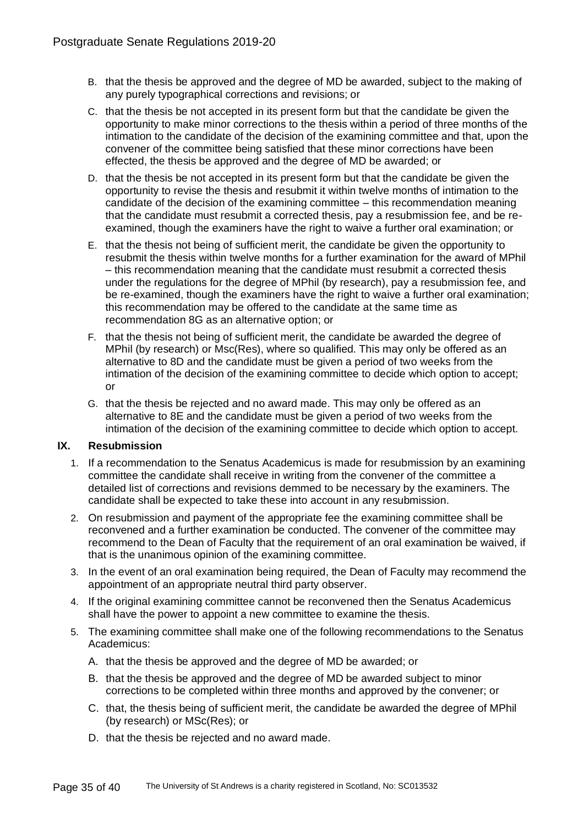- B. that the thesis be approved and the degree of MD be awarded, subject to the making of any purely typographical corrections and revisions; or
- C. that the thesis be not accepted in its present form but that the candidate be given the opportunity to make minor corrections to the thesis within a period of three months of the intimation to the candidate of the decision of the examining committee and that, upon the convener of the committee being satisfied that these minor corrections have been effected, the thesis be approved and the degree of MD be awarded; or
- D. that the thesis be not accepted in its present form but that the candidate be given the opportunity to revise the thesis and resubmit it within twelve months of intimation to the candidate of the decision of the examining committee – this recommendation meaning that the candidate must resubmit a corrected thesis, pay a resubmission fee, and be reexamined, though the examiners have the right to waive a further oral examination; or
- E. that the thesis not being of sufficient merit, the candidate be given the opportunity to resubmit the thesis within twelve months for a further examination for the award of MPhil – this recommendation meaning that the candidate must resubmit a corrected thesis under the regulations for the degree of MPhil (by research), pay a resubmission fee, and be re-examined, though the examiners have the right to waive a further oral examination; this recommendation may be offered to the candidate at the same time as recommendation 8G as an alternative option; or
- F. that the thesis not being of sufficient merit, the candidate be awarded the degree of MPhil (by research) or Msc(Res), where so qualified. This may only be offered as an alternative to 8D and the candidate must be given a period of two weeks from the intimation of the decision of the examining committee to decide which option to accept; or
- G. that the thesis be rejected and no award made. This may only be offered as an alternative to 8E and the candidate must be given a period of two weeks from the intimation of the decision of the examining committee to decide which option to accept.

# **IX. Resubmission**

- 1. If a recommendation to the Senatus Academicus is made for resubmission by an examining committee the candidate shall receive in writing from the convener of the committee a detailed list of corrections and revisions demmed to be necessary by the examiners. The candidate shall be expected to take these into account in any resubmission.
- 2. On resubmission and payment of the appropriate fee the examining committee shall be reconvened and a further examination be conducted. The convener of the committee may recommend to the Dean of Faculty that the requirement of an oral examination be waived, if that is the unanimous opinion of the examining committee.
- 3. In the event of an oral examination being required, the Dean of Faculty may recommend the appointment of an appropriate neutral third party observer.
- 4. If the original examining committee cannot be reconvened then the Senatus Academicus shall have the power to appoint a new committee to examine the thesis.
- 5. The examining committee shall make one of the following recommendations to the Senatus Academicus:
	- A. that the thesis be approved and the degree of MD be awarded; or
	- B. that the thesis be approved and the degree of MD be awarded subject to minor corrections to be completed within three months and approved by the convener; or
	- C. that, the thesis being of sufficient merit, the candidate be awarded the degree of MPhil (by research) or MSc(Res); or
	- D. that the thesis be rejected and no award made.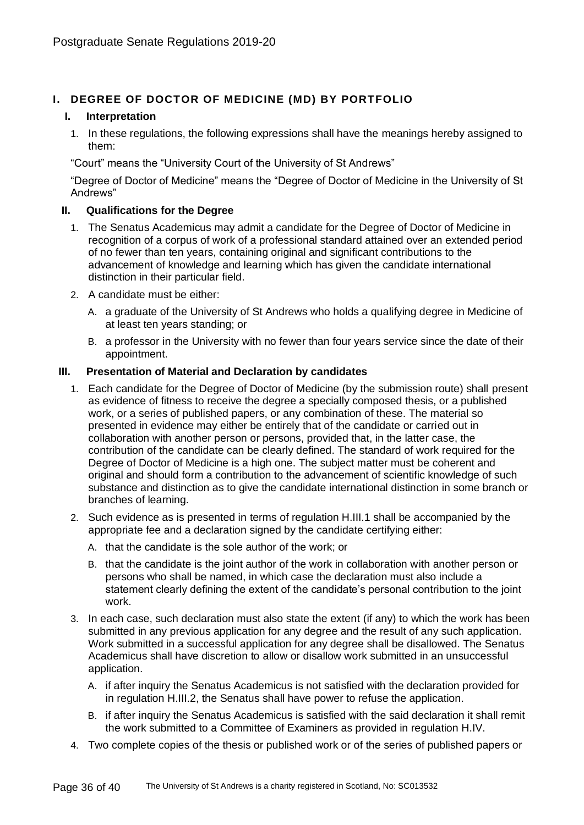# **I. DEGREE OF DOCTOR OF MEDICINE (MD) BY PORTFOLIO**

# **I. Interpretation**

1. In these regulations, the following expressions shall have the meanings hereby assigned to them:

"Court" means the "University Court of the University of St Andrews"

"Degree of Doctor of Medicine" means the "Degree of Doctor of Medicine in the University of St Andrews"

# **II. Qualifications for the Degree**

- 1. The Senatus Academicus may admit a candidate for the Degree of Doctor of Medicine in recognition of a corpus of work of a professional standard attained over an extended period of no fewer than ten years, containing original and significant contributions to the advancement of knowledge and learning which has given the candidate international distinction in their particular field.
- 2. A candidate must be either:
	- A. a graduate of the University of St Andrews who holds a qualifying degree in Medicine of at least ten years standing; or
	- B. a professor in the University with no fewer than four years service since the date of their appointment.

# **III. Presentation of Material and Declaration by candidates**

- 1. Each candidate for the Degree of Doctor of Medicine (by the submission route) shall present as evidence of fitness to receive the degree a specially composed thesis, or a published work, or a series of published papers, or any combination of these. The material so presented in evidence may either be entirely that of the candidate or carried out in collaboration with another person or persons, provided that, in the latter case, the contribution of the candidate can be clearly defined. The standard of work required for the Degree of Doctor of Medicine is a high one. The subject matter must be coherent and original and should form a contribution to the advancement of scientific knowledge of such substance and distinction as to give the candidate international distinction in some branch or branches of learning.
- 2. Such evidence as is presented in terms of regulation H.III.1 shall be accompanied by the appropriate fee and a declaration signed by the candidate certifying either:
	- A. that the candidate is the sole author of the work; or
	- B. that the candidate is the joint author of the work in collaboration with another person or persons who shall be named, in which case the declaration must also include a statement clearly defining the extent of the candidate's personal contribution to the joint work.
- 3. In each case, such declaration must also state the extent (if any) to which the work has been submitted in any previous application for any degree and the result of any such application. Work submitted in a successful application for any degree shall be disallowed. The Senatus Academicus shall have discretion to allow or disallow work submitted in an unsuccessful application.
	- A. if after inquiry the Senatus Academicus is not satisfied with the declaration provided for in regulation H.III.2, the Senatus shall have power to refuse the application.
	- B. if after inquiry the Senatus Academicus is satisfied with the said declaration it shall remit the work submitted to a Committee of Examiners as provided in regulation H.IV.
- 4. Two complete copies of the thesis or published work or of the series of published papers or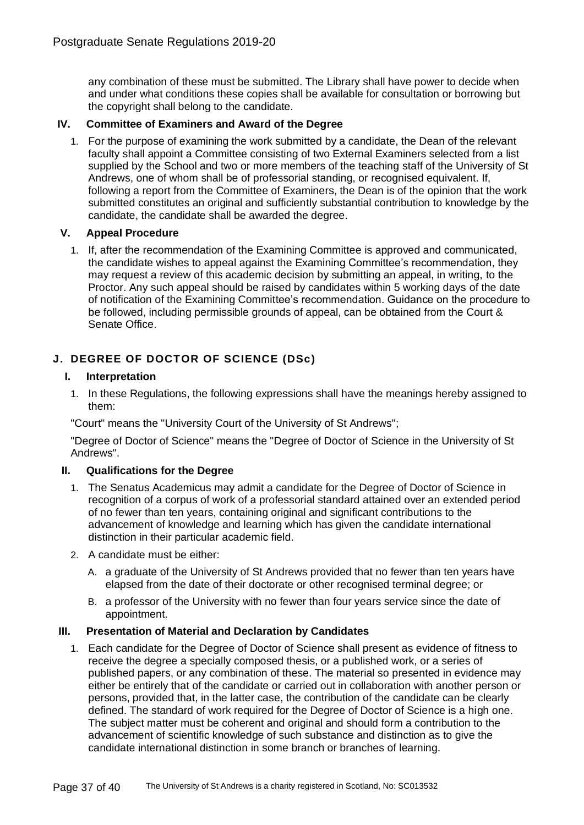any combination of these must be submitted. The Library shall have power to decide when and under what conditions these copies shall be available for consultation or borrowing but the copyright shall belong to the candidate.

# **IV. Committee of Examiners and Award of the Degree**

1. For the purpose of examining the work submitted by a candidate, the Dean of the relevant faculty shall appoint a Committee consisting of two External Examiners selected from a list supplied by the School and two or more members of the teaching staff of the University of St Andrews, one of whom shall be of professorial standing, or recognised equivalent. If, following a report from the Committee of Examiners, the Dean is of the opinion that the work submitted constitutes an original and sufficiently substantial contribution to knowledge by the candidate, the candidate shall be awarded the degree.

# **V. Appeal Procedure**

1. If, after the recommendation of the Examining Committee is approved and communicated, the candidate wishes to appeal against the Examining Committee's recommendation, they may request a review of this academic decision by submitting an appeal, in writing, to the Proctor. Any such appeal should be raised by candidates within 5 working days of the date of notification of the Examining Committee's recommendation. Guidance on the procedure to be followed, including permissible grounds of appeal, can be obtained from the Court & Senate Office.

# **J. DEGREE OF DOCTOR OF SCIENCE (DSc)**

#### **I. Interpretation**

1. In these Regulations, the following expressions shall have the meanings hereby assigned to them:

"Court" means the "University Court of the University of St Andrews";

"Degree of Doctor of Science" means the "Degree of Doctor of Science in the University of St Andrews".

# **II. Qualifications for the Degree**

- 1. The Senatus Academicus may admit a candidate for the Degree of Doctor of Science in recognition of a corpus of work of a professorial standard attained over an extended period of no fewer than ten years, containing original and significant contributions to the advancement of knowledge and learning which has given the candidate international distinction in their particular academic field.
- 2. A candidate must be either:
	- A. a graduate of the University of St Andrews provided that no fewer than ten years have elapsed from the date of their doctorate or other recognised terminal degree; or
	- B. a professor of the University with no fewer than four years service since the date of appointment.

# **III. Presentation of Material and Declaration by Candidates**

1. Each candidate for the Degree of Doctor of Science shall present as evidence of fitness to receive the degree a specially composed thesis, or a published work, or a series of published papers, or any combination of these. The material so presented in evidence may either be entirely that of the candidate or carried out in collaboration with another person or persons, provided that, in the latter case, the contribution of the candidate can be clearly defined. The standard of work required for the Degree of Doctor of Science is a high one. The subject matter must be coherent and original and should form a contribution to the advancement of scientific knowledge of such substance and distinction as to give the candidate international distinction in some branch or branches of learning.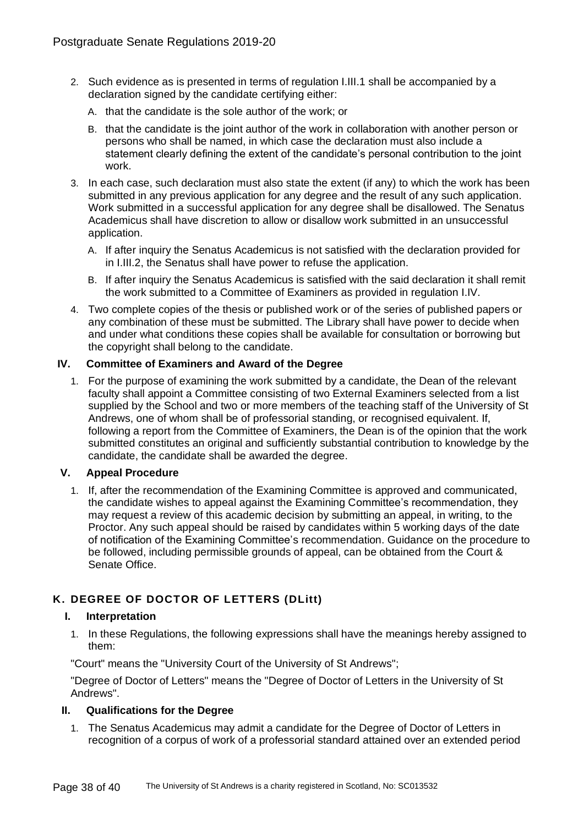- 2. Such evidence as is presented in terms of regulation I.III.1 shall be accompanied by a declaration signed by the candidate certifying either:
	- A. that the candidate is the sole author of the work; or
	- B. that the candidate is the joint author of the work in collaboration with another person or persons who shall be named, in which case the declaration must also include a statement clearly defining the extent of the candidate's personal contribution to the joint work.
- 3. In each case, such declaration must also state the extent (if any) to which the work has been submitted in any previous application for any degree and the result of any such application. Work submitted in a successful application for any degree shall be disallowed. The Senatus Academicus shall have discretion to allow or disallow work submitted in an unsuccessful application.
	- A. If after inquiry the Senatus Academicus is not satisfied with the declaration provided for in I.III.2, the Senatus shall have power to refuse the application.
	- B. If after inquiry the Senatus Academicus is satisfied with the said declaration it shall remit the work submitted to a Committee of Examiners as provided in regulation I.IV.
- 4. Two complete copies of the thesis or published work or of the series of published papers or any combination of these must be submitted. The Library shall have power to decide when and under what conditions these copies shall be available for consultation or borrowing but the copyright shall belong to the candidate.

# **IV. Committee of Examiners and Award of the Degree**

1. For the purpose of examining the work submitted by a candidate, the Dean of the relevant faculty shall appoint a Committee consisting of two External Examiners selected from a list supplied by the School and two or more members of the teaching staff of the University of St Andrews, one of whom shall be of professorial standing, or recognised equivalent. If, following a report from the Committee of Examiners, the Dean is of the opinion that the work submitted constitutes an original and sufficiently substantial contribution to knowledge by the candidate, the candidate shall be awarded the degree.

# **V. Appeal Procedure**

1. If, after the recommendation of the Examining Committee is approved and communicated, the candidate wishes to appeal against the Examining Committee's recommendation, they may request a review of this academic decision by submitting an appeal, in writing, to the Proctor. Any such appeal should be raised by candidates within 5 working days of the date of notification of the Examining Committee's recommendation. Guidance on the procedure to be followed, including permissible grounds of appeal, can be obtained from the Court & Senate Office.

# **K. DEGREE OF DOCTOR OF LETTERS (DLitt)**

# **I. Interpretation**

1. In these Regulations, the following expressions shall have the meanings hereby assigned to them:

"Court" means the "University Court of the University of St Andrews";

"Degree of Doctor of Letters" means the "Degree of Doctor of Letters in the University of St Andrews".

# **II. Qualifications for the Degree**

1. The Senatus Academicus may admit a candidate for the Degree of Doctor of Letters in recognition of a corpus of work of a professorial standard attained over an extended period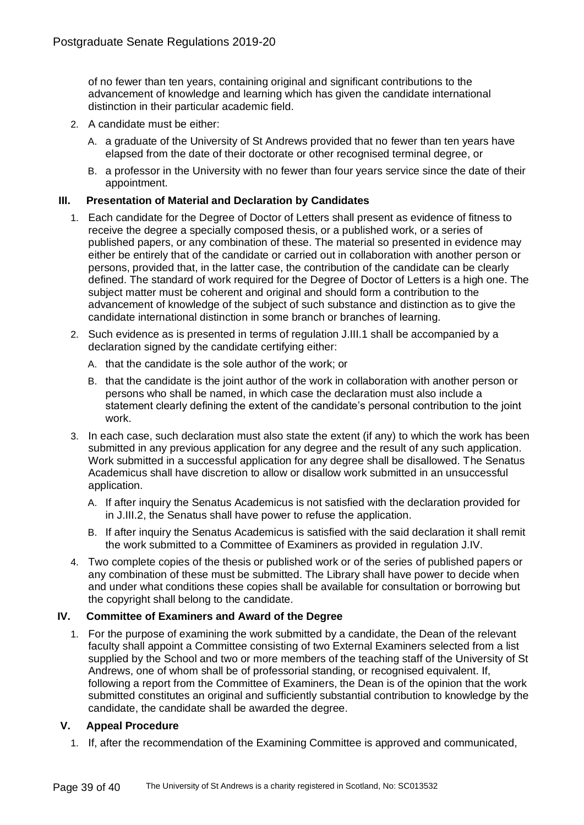of no fewer than ten years, containing original and significant contributions to the advancement of knowledge and learning which has given the candidate international distinction in their particular academic field.

- 2. A candidate must be either:
	- A. a graduate of the University of St Andrews provided that no fewer than ten years have elapsed from the date of their doctorate or other recognised terminal degree, or
	- B. a professor in the University with no fewer than four years service since the date of their appointment.

#### **III. Presentation of Material and Declaration by Candidates**

- 1. Each candidate for the Degree of Doctor of Letters shall present as evidence of fitness to receive the degree a specially composed thesis, or a published work, or a series of published papers, or any combination of these. The material so presented in evidence may either be entirely that of the candidate or carried out in collaboration with another person or persons, provided that, in the latter case, the contribution of the candidate can be clearly defined. The standard of work required for the Degree of Doctor of Letters is a high one. The subject matter must be coherent and original and should form a contribution to the advancement of knowledge of the subject of such substance and distinction as to give the candidate international distinction in some branch or branches of learning.
- 2. Such evidence as is presented in terms of regulation J.III.1 shall be accompanied by a declaration signed by the candidate certifying either:
	- A. that the candidate is the sole author of the work; or
	- B. that the candidate is the joint author of the work in collaboration with another person or persons who shall be named, in which case the declaration must also include a statement clearly defining the extent of the candidate's personal contribution to the joint work.
- 3. In each case, such declaration must also state the extent (if any) to which the work has been submitted in any previous application for any degree and the result of any such application. Work submitted in a successful application for any degree shall be disallowed. The Senatus Academicus shall have discretion to allow or disallow work submitted in an unsuccessful application.
	- A. If after inquiry the Senatus Academicus is not satisfied with the declaration provided for in J.III.2, the Senatus shall have power to refuse the application.
	- B. If after inquiry the Senatus Academicus is satisfied with the said declaration it shall remit the work submitted to a Committee of Examiners as provided in regulation J.IV.
- 4. Two complete copies of the thesis or published work or of the series of published papers or any combination of these must be submitted. The Library shall have power to decide when and under what conditions these copies shall be available for consultation or borrowing but the copyright shall belong to the candidate.

# **IV. Committee of Examiners and Award of the Degree**

1. For the purpose of examining the work submitted by a candidate, the Dean of the relevant faculty shall appoint a Committee consisting of two External Examiners selected from a list supplied by the School and two or more members of the teaching staff of the University of St Andrews, one of whom shall be of professorial standing, or recognised equivalent. If, following a report from the Committee of Examiners, the Dean is of the opinion that the work submitted constitutes an original and sufficiently substantial contribution to knowledge by the candidate, the candidate shall be awarded the degree.

# **V. Appeal Procedure**

1. If, after the recommendation of the Examining Committee is approved and communicated,